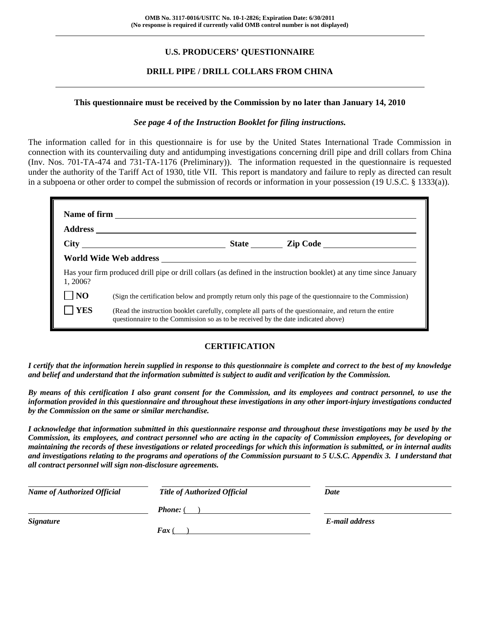# **U.S. PRODUCERS' QUESTIONNAIRE**

# **DRILL PIPE / DRILL COLLARS FROM CHINA**

#### **This questionnaire must be received by the Commission by no later than January 14, 2010**

#### *See page 4 of the Instruction Booklet for filing instructions.*

The information called for in this questionnaire is for use by the United States International Trade Commission in connection with its countervailing duty and antidumping investigations concerning drill pipe and drill collars from China (Inv. Nos. 701-TA-474 and 731-TA-1176 (Preliminary)). The information requested in the questionnaire is requested under the authority of the Tariff Act of 1930, title VII. This report is mandatory and failure to reply as directed can result in a subpoena or other order to compel the submission of records or information in your possession (19 U.S.C. § 1333(a)).

| 1.2006?        | Has your firm produced drill pipe or drill collars (as defined in the instruction booklet) at any time since January                                                                         |
|----------------|----------------------------------------------------------------------------------------------------------------------------------------------------------------------------------------------|
| N <sub>O</sub> | (Sign the certification below and promptly return only this page of the questionnaire to the Commission)                                                                                     |
| <b>YES</b>     | (Read the instruction booklet carefully, complete all parts of the questionnaire, and return the entire<br>questionnaire to the Commission so as to be received by the date indicated above) |

### **CERTIFICATION**

*I certify that the information herein supplied in response to this questionnaire is complete and correct to the best of my knowledge and belief and understand that the information submitted is subject to audit and verification by the Commission.* 

*By means of this certification I also grant consent for the Commission, and its employees and contract personnel, to use the information provided in this questionnaire and throughout these investigations in any other import-injury investigations conducted by the Commission on the same or similar merchandise.* 

*I acknowledge that information submitted in this questionnaire response and throughout these investigations may be used by the Commission, its employees, and contract personnel who are acting in the capacity of Commission employees, for developing or maintaining the records of these investigations or related proceedings for which this information is submitted, or in internal audits and investigations relating to the programs and operations of the Commission pursuant to 5 U.S.C. Appendix 3. I understand that all contract personnel will sign non-disclosure agreements.* 

| <b>Name of Authorized Official</b> | <b>Title of Authorized Official</b> | Date           |
|------------------------------------|-------------------------------------|----------------|
|                                    | <b>Phone:</b> (                     |                |
| <b>Signature</b>                   |                                     | E-mail address |
|                                    | $\boldsymbol{F}$ ax (               |                |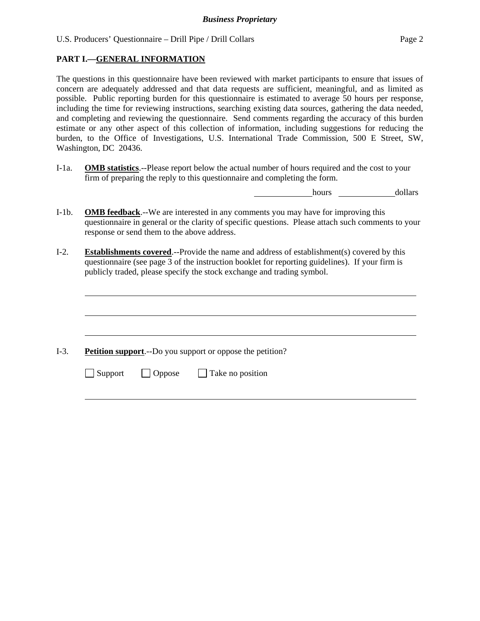# **PART I.—GENERAL INFORMATION**

The questions in this questionnaire have been reviewed with market participants to ensure that issues of concern are adequately addressed and that data requests are sufficient, meaningful, and as limited as possible. Public reporting burden for this questionnaire is estimated to average 50 hours per response, including the time for reviewing instructions, searching existing data sources, gathering the data needed, and completing and reviewing the questionnaire. Send comments regarding the accuracy of this burden estimate or any other aspect of this collection of information, including suggestions for reducing the burden, to the Office of Investigations, U.S. International Trade Commission, 500 E Street, SW, Washington, DC 20436.

I-1a. **OMB statistics**.--Please report below the actual number of hours required and the cost to your firm of preparing the reply to this questionnaire and completing the form.

hours dollars

- I-1b. **OMB feedback**.--We are interested in any comments you may have for improving this questionnaire in general or the clarity of specific questions. Please attach such comments to your response or send them to the above address.
- I-2. **Establishments covered**.--Provide the name and address of establishment(s) covered by this questionnaire (see page 3 of the instruction booklet for reporting guidelines). If your firm is publicly traded, please specify the stock exchange and trading symbol.

I-3. **Petition support**.--Do you support or oppose the petition?

 $\Box$  Support  $\Box$  Oppose  $\Box$  Take no position

 $\overline{a}$ 

 $\overline{a}$ 

 $\overline{a}$ 

l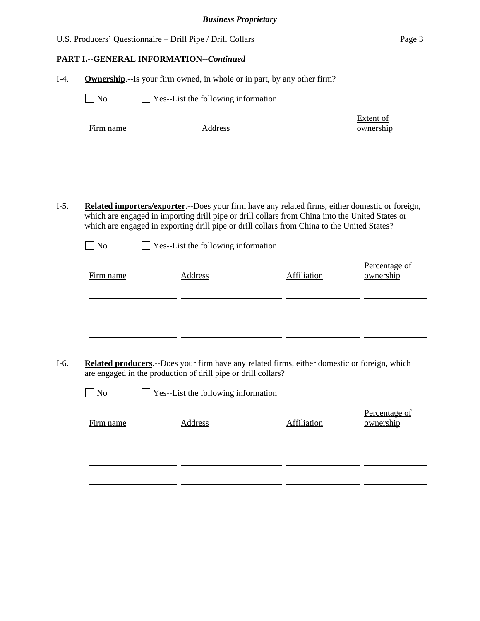|        |                   | U.S. Producers' Questionnaire - Drill Pipe / Drill Collars                                                                                                                                                                                                                                                |                    |                               |  |  |  |
|--------|-------------------|-----------------------------------------------------------------------------------------------------------------------------------------------------------------------------------------------------------------------------------------------------------------------------------------------------------|--------------------|-------------------------------|--|--|--|
|        |                   | <b>PART I.--GENERAL INFORMATION--Continued</b>                                                                                                                                                                                                                                                            |                    |                               |  |  |  |
| $I-4.$ |                   | <b>Ownership.</b> --Is your firm owned, in whole or in part, by any other firm?                                                                                                                                                                                                                           |                    |                               |  |  |  |
|        | No                | Yes--List the following information                                                                                                                                                                                                                                                                       |                    |                               |  |  |  |
|        | Firm name         | <b>Address</b>                                                                                                                                                                                                                                                                                            |                    | <b>Extent of</b><br>ownership |  |  |  |
|        |                   |                                                                                                                                                                                                                                                                                                           |                    |                               |  |  |  |
| $I-5.$ |                   | <b>Related importers/exporter.</b> --Does your firm have any related firms, either domestic or foreign,<br>which are engaged in importing drill pipe or drill collars from China into the United States or<br>which are engaged in exporting drill pipe or drill collars from China to the United States? |                    |                               |  |  |  |
|        | $\blacksquare$ No | $\Box$ Yes--List the following information                                                                                                                                                                                                                                                                |                    |                               |  |  |  |
|        | Firm name         | <b>Address</b>                                                                                                                                                                                                                                                                                            | <b>Affiliation</b> | Percentage of<br>ownership    |  |  |  |
|        |                   |                                                                                                                                                                                                                                                                                                           |                    |                               |  |  |  |
| I-6.   |                   | Related producers.--Does your firm have any related firms, either domestic or foreign, which<br>are engaged in the production of drill pipe or drill collars?                                                                                                                                             |                    |                               |  |  |  |
|        | N <sub>o</sub>    | $\Box$ Yes--List the following information                                                                                                                                                                                                                                                                |                    |                               |  |  |  |
|        | Firm name         | <b>Address</b>                                                                                                                                                                                                                                                                                            | <b>Affiliation</b> | Percentage of<br>ownership    |  |  |  |
|        |                   |                                                                                                                                                                                                                                                                                                           |                    |                               |  |  |  |

l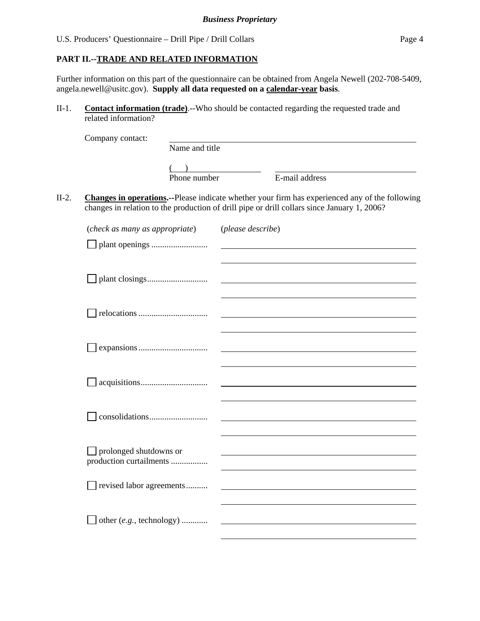# **PART II.--TRADE AND RELATED INFORMATION**

Further information on this part of the questionnaire can be obtained from Angela Newell (202-708-5409, angela.newell@usitc.gov). **Supply all data requested on a calendar-year basis**.

II-1. **Contact information (trade)**.--Who should be contacted regarding the requested trade and related information?

|         | Company contact:                                  |                |                   |                                                                                                                                                                                               |
|---------|---------------------------------------------------|----------------|-------------------|-----------------------------------------------------------------------------------------------------------------------------------------------------------------------------------------------|
|         |                                                   | Name and title |                   |                                                                                                                                                                                               |
|         |                                                   |                |                   |                                                                                                                                                                                               |
|         |                                                   | Phone number   |                   | E-mail address                                                                                                                                                                                |
| $II-2.$ |                                                   |                |                   | Changes in operations.--Please indicate whether your firm has experienced any of the following<br>changes in relation to the production of drill pipe or drill collars since January 1, 2006? |
|         | (check as many as appropriate)                    |                | (please describe) |                                                                                                                                                                                               |
|         |                                                   |                |                   |                                                                                                                                                                                               |
|         |                                                   |                |                   |                                                                                                                                                                                               |
|         |                                                   |                |                   |                                                                                                                                                                                               |
|         |                                                   |                |                   |                                                                                                                                                                                               |
|         |                                                   |                |                   |                                                                                                                                                                                               |
|         |                                                   |                |                   |                                                                                                                                                                                               |
|         | prolonged shutdowns or<br>production curtailments |                |                   |                                                                                                                                                                                               |
|         | revised labor agreements                          |                |                   |                                                                                                                                                                                               |
|         | other $(e.g., \text{ technology})$                |                |                   |                                                                                                                                                                                               |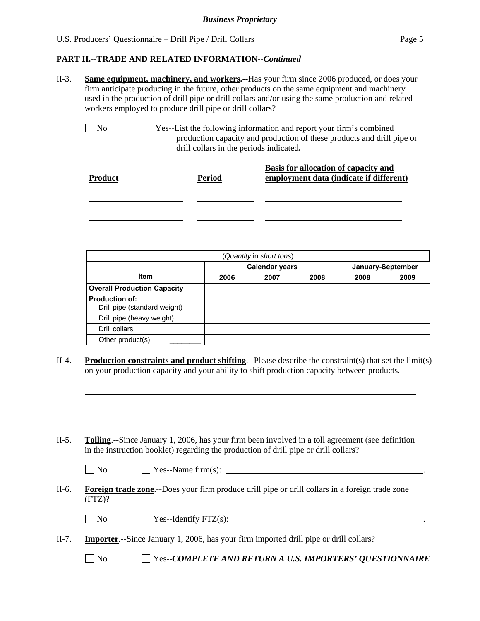II-3. **Same equipment, machinery, and workers.--**Has your firm since 2006 produced, or does your firm anticipate producing in the future, other products on the same equipment and machinery used in the production of drill pipe or drill collars and/or using the same production and related

### **PART II.--TRADE AND RELATED INFORMATION***--Continued*

| <b>Product</b>                                                                                                                                                                                                                                    | <b>Period</b> |                          |      | <b>Basis for allocation of capacity and</b><br>employment data (indicate if different) |      |
|---------------------------------------------------------------------------------------------------------------------------------------------------------------------------------------------------------------------------------------------------|---------------|--------------------------|------|----------------------------------------------------------------------------------------|------|
|                                                                                                                                                                                                                                                   |               | (Quantity in short tons) |      |                                                                                        |      |
| Item                                                                                                                                                                                                                                              |               | <b>Calendar years</b>    |      | January-September                                                                      |      |
| <b>Overall Production Capacity</b>                                                                                                                                                                                                                | 2006          | 2007                     | 2008 | 2008                                                                                   | 2009 |
|                                                                                                                                                                                                                                                   |               |                          |      |                                                                                        |      |
|                                                                                                                                                                                                                                                   |               |                          |      |                                                                                        |      |
| <b>Production of:</b><br>Drill pipe (standard weight)                                                                                                                                                                                             |               |                          |      |                                                                                        |      |
| Drill pipe (heavy weight)                                                                                                                                                                                                                         |               |                          |      |                                                                                        |      |
| Drill collars<br>Other product(s)<br><b>Production constraints and product shifting</b> .--Please describe the constraint(s) that set the limit(s)<br>on your production capacity and your ability to shift production capacity between products. |               |                          |      |                                                                                        |      |
| <b>Tolling.</b> --Since January 1, 2006, has your firm been involved in a toll agreement (see definition<br>in the instruction booklet) regarding the production of drill pipe or drill collars?<br>No                                            |               |                          |      |                                                                                        |      |
| Foreign trade zone.--Does your firm produce drill pipe or drill collars in a foreign trade zone<br>(FTZ)?                                                                                                                                         |               |                          |      |                                                                                        |      |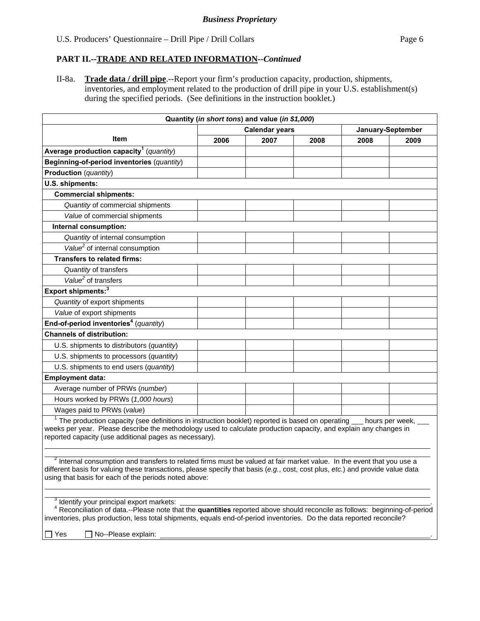II-8a. **Trade data / drill pipe**.--Report your firm's production capacity, production, shipments, inventories, and employment related to the production of drill pipe in your U.S. establishment(s) during the specified periods. (See definitions in the instruction booklet.)

|                                                                                                                                                                                                                                                                                                                     |      | <b>Calendar years</b> |      |      | January-September |
|---------------------------------------------------------------------------------------------------------------------------------------------------------------------------------------------------------------------------------------------------------------------------------------------------------------------|------|-----------------------|------|------|-------------------|
| <b>Item</b>                                                                                                                                                                                                                                                                                                         | 2006 | 2007                  | 2008 | 2008 | 2009              |
| Average production capacity <sup>1</sup> (quantity)                                                                                                                                                                                                                                                                 |      |                       |      |      |                   |
| Beginning-of-period inventories (quantity)                                                                                                                                                                                                                                                                          |      |                       |      |      |                   |
| <b>Production</b> (quantity)                                                                                                                                                                                                                                                                                        |      |                       |      |      |                   |
| U.S. shipments:                                                                                                                                                                                                                                                                                                     |      |                       |      |      |                   |
| <b>Commercial shipments:</b>                                                                                                                                                                                                                                                                                        |      |                       |      |      |                   |
| Quantity of commercial shipments                                                                                                                                                                                                                                                                                    |      |                       |      |      |                   |
| Value of commercial shipments                                                                                                                                                                                                                                                                                       |      |                       |      |      |                   |
| Internal consumption:                                                                                                                                                                                                                                                                                               |      |                       |      |      |                   |
| Quantity of internal consumption                                                                                                                                                                                                                                                                                    |      |                       |      |      |                   |
| Value <sup>2</sup> of internal consumption                                                                                                                                                                                                                                                                          |      |                       |      |      |                   |
| <b>Transfers to related firms:</b>                                                                                                                                                                                                                                                                                  |      |                       |      |      |                   |
| Quantity of transfers                                                                                                                                                                                                                                                                                               |      |                       |      |      |                   |
| Value <sup>2</sup> of transfers                                                                                                                                                                                                                                                                                     |      |                       |      |      |                   |
| Export shipments: <sup>3</sup>                                                                                                                                                                                                                                                                                      |      |                       |      |      |                   |
| Quantity of export shipments                                                                                                                                                                                                                                                                                        |      |                       |      |      |                   |
| Value of export shipments                                                                                                                                                                                                                                                                                           |      |                       |      |      |                   |
| End-of-period inventories <sup>4</sup> (quantity)                                                                                                                                                                                                                                                                   |      |                       |      |      |                   |
| <b>Channels of distribution:</b>                                                                                                                                                                                                                                                                                    |      |                       |      |      |                   |
| U.S. shipments to distributors (quantity)                                                                                                                                                                                                                                                                           |      |                       |      |      |                   |
| U.S. shipments to processors (quantity)                                                                                                                                                                                                                                                                             |      |                       |      |      |                   |
| U.S. shipments to end users (quantity)                                                                                                                                                                                                                                                                              |      |                       |      |      |                   |
| <b>Employment data:</b>                                                                                                                                                                                                                                                                                             |      |                       |      |      |                   |
| Average number of PRWs (number)                                                                                                                                                                                                                                                                                     |      |                       |      |      |                   |
| Hours worked by PRWs (1,000 hours)                                                                                                                                                                                                                                                                                  |      |                       |      |      |                   |
| Wages paid to PRWs (value)                                                                                                                                                                                                                                                                                          |      |                       |      |      |                   |
| $1$ The production capacity (see definitions in instruction booklet) reported is based on operating $\_\_$ hours per week, $\_\_$<br>weeks per year. Please describe the methodology used to calculate production capacity, and explain any changes in<br>reported capacity (use additional pages as necessary).    |      |                       |      |      |                   |
| $2$ Internal consumption and transfers to related firms must be valued at fair market value. In the event that you use a<br>different basis for valuing these transactions, please specify that basis (e.g., cost, cost plus, etc.) and provide value data<br>using that basis for each of the periods noted above: |      |                       |      |      |                   |
| <sup>3</sup> Identify your principal export markets:<br><sup>4</sup> Reconciliation of data.--Please note that the quantities reported above should reconcile as follows: beginning-of-period                                                                                                                       |      |                       |      |      |                   |

 $\Box$  Yes  $\Box$  No--Please explain: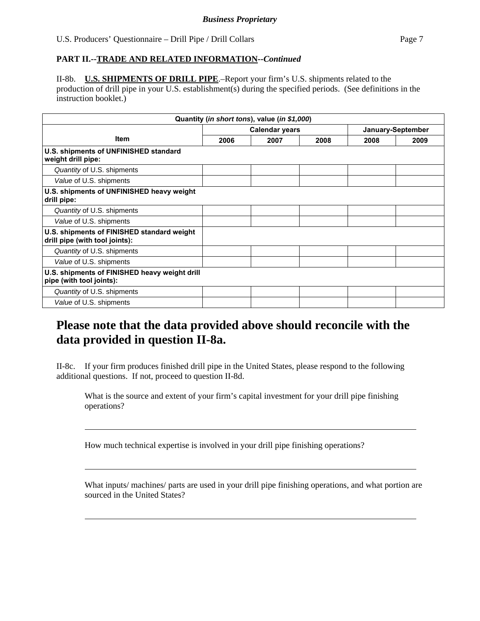II-8b. **U.S. SHIPMENTS OF DRILL PIPE**.–Report your firm's U.S. shipments related to the production of drill pipe in your U.S. establishment(s) during the specified periods. (See definitions in the instruction booklet.)

| Quantity ( <i>in short tons</i> ), value ( <i>in \$1,000</i> )               |      |                       |      |      |                   |
|------------------------------------------------------------------------------|------|-----------------------|------|------|-------------------|
|                                                                              |      | <b>Calendar years</b> |      |      | January-September |
| <b>Item</b>                                                                  | 2006 | 2007                  | 2008 | 2008 | 2009              |
| U.S. shipments of UNFINISHED standard<br>weight drill pipe:                  |      |                       |      |      |                   |
| Quantity of U.S. shipments                                                   |      |                       |      |      |                   |
| Value of U.S. shipments                                                      |      |                       |      |      |                   |
| U.S. shipments of UNFINISHED heavy weight<br>drill pipe:                     |      |                       |      |      |                   |
| Quantity of U.S. shipments                                                   |      |                       |      |      |                   |
| Value of U.S. shipments                                                      |      |                       |      |      |                   |
| U.S. shipments of FINISHED standard weight<br>drill pipe (with tool joints): |      |                       |      |      |                   |
| Quantity of U.S. shipments                                                   |      |                       |      |      |                   |
| Value of U.S. shipments                                                      |      |                       |      |      |                   |
| U.S. shipments of FINISHED heavy weight drill<br>pipe (with tool joints):    |      |                       |      |      |                   |
| Quantity of U.S. shipments                                                   |      |                       |      |      |                   |
| Value of U.S. shipments                                                      |      |                       |      |      |                   |

# **Please note that the data provided above should reconcile with the data provided in question II-8a.**

II-8c. If your firm produces finished drill pipe in the United States, please respond to the following additional questions. If not, proceed to question II-8d.

What is the source and extent of your firm's capital investment for your drill pipe finishing operations?

How much technical expertise is involved in your drill pipe finishing operations?

l

 $\overline{a}$ 

 $\overline{a}$ 

What inputs/ machines/ parts are used in your drill pipe finishing operations, and what portion are sourced in the United States?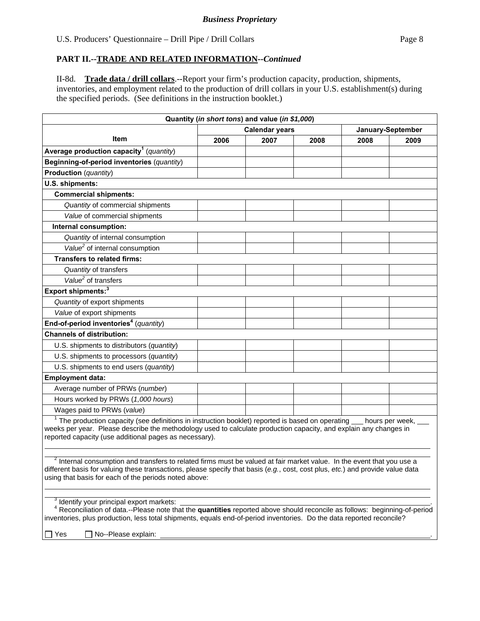II-8d. **Trade data / drill collars**.--Report your firm's production capacity, production, shipments, inventories, and employment related to the production of drill collars in your U.S. establishment(s) during the specified periods. (See definitions in the instruction booklet.)

|                                                                                                                                                                                                                                                                                                                                                             |      | Quantity (in short tons) and value (in \$1,000) |      |      |                   |
|-------------------------------------------------------------------------------------------------------------------------------------------------------------------------------------------------------------------------------------------------------------------------------------------------------------------------------------------------------------|------|-------------------------------------------------|------|------|-------------------|
| <b>Item</b>                                                                                                                                                                                                                                                                                                                                                 |      | <b>Calendar years</b>                           |      |      | January-September |
|                                                                                                                                                                                                                                                                                                                                                             | 2006 | 2007                                            | 2008 | 2008 | 2009              |
| Average production capacity <sup>1</sup> (quantity)                                                                                                                                                                                                                                                                                                         |      |                                                 |      |      |                   |
| Beginning-of-period inventories (quantity)                                                                                                                                                                                                                                                                                                                  |      |                                                 |      |      |                   |
| <b>Production</b> (quantity)                                                                                                                                                                                                                                                                                                                                |      |                                                 |      |      |                   |
| U.S. shipments:                                                                                                                                                                                                                                                                                                                                             |      |                                                 |      |      |                   |
| <b>Commercial shipments:</b>                                                                                                                                                                                                                                                                                                                                |      |                                                 |      |      |                   |
| Quantity of commercial shipments                                                                                                                                                                                                                                                                                                                            |      |                                                 |      |      |                   |
| Value of commercial shipments                                                                                                                                                                                                                                                                                                                               |      |                                                 |      |      |                   |
| Internal consumption:                                                                                                                                                                                                                                                                                                                                       |      |                                                 |      |      |                   |
| Quantity of internal consumption                                                                                                                                                                                                                                                                                                                            |      |                                                 |      |      |                   |
| Value <sup>2</sup> of internal consumption                                                                                                                                                                                                                                                                                                                  |      |                                                 |      |      |                   |
| <b>Transfers to related firms:</b>                                                                                                                                                                                                                                                                                                                          |      |                                                 |      |      |                   |
| Quantity of transfers                                                                                                                                                                                                                                                                                                                                       |      |                                                 |      |      |                   |
| Value <sup>2</sup> of transfers                                                                                                                                                                                                                                                                                                                             |      |                                                 |      |      |                   |
| Export shipments: <sup>3</sup>                                                                                                                                                                                                                                                                                                                              |      |                                                 |      |      |                   |
| Quantity of export shipments                                                                                                                                                                                                                                                                                                                                |      |                                                 |      |      |                   |
| Value of export shipments                                                                                                                                                                                                                                                                                                                                   |      |                                                 |      |      |                   |
| End-of-period inventories <sup>4</sup> (quantity)                                                                                                                                                                                                                                                                                                           |      |                                                 |      |      |                   |
| <b>Channels of distribution:</b>                                                                                                                                                                                                                                                                                                                            |      |                                                 |      |      |                   |
| U.S. shipments to distributors (quantity)                                                                                                                                                                                                                                                                                                                   |      |                                                 |      |      |                   |
| U.S. shipments to processors (quantity)                                                                                                                                                                                                                                                                                                                     |      |                                                 |      |      |                   |
| U.S. shipments to end users (quantity)                                                                                                                                                                                                                                                                                                                      |      |                                                 |      |      |                   |
| <b>Employment data:</b>                                                                                                                                                                                                                                                                                                                                     |      |                                                 |      |      |                   |
| Average number of PRWs (number)                                                                                                                                                                                                                                                                                                                             |      |                                                 |      |      |                   |
| Hours worked by PRWs (1,000 hours)                                                                                                                                                                                                                                                                                                                          |      |                                                 |      |      |                   |
| Wages paid to PRWs (value)                                                                                                                                                                                                                                                                                                                                  |      |                                                 |      |      |                   |
| $1$ The production capacity (see definitions in instruction booklet) reported is based on operating $\_\_$ hours per week, $\_\_$<br>weeks per year. Please describe the methodology used to calculate production capacity, and explain any changes in<br>reported capacity (use additional pages as necessary).                                            |      |                                                 |      |      |                   |
| $2$ Internal consumption and transfers to related firms must be valued at fair market value. In the event that you use a<br>different basis for valuing these transactions, please specify that basis (e.g., cost, cost plus, etc.) and provide value data<br>using that basis for each of the periods noted above:                                         |      |                                                 |      |      |                   |
| <sup>3</sup> Identify your principal export markets:<br><sup>4</sup> Reconciliation of data.--Please note that the quantities reported above should reconcile as follows: beginning-of-period<br>inventories, plus production, less total shipments, equals end-of-period inventories. Do the data reported reconcile?<br>No--Please explain:<br>$\Box$ Yes |      |                                                 |      |      |                   |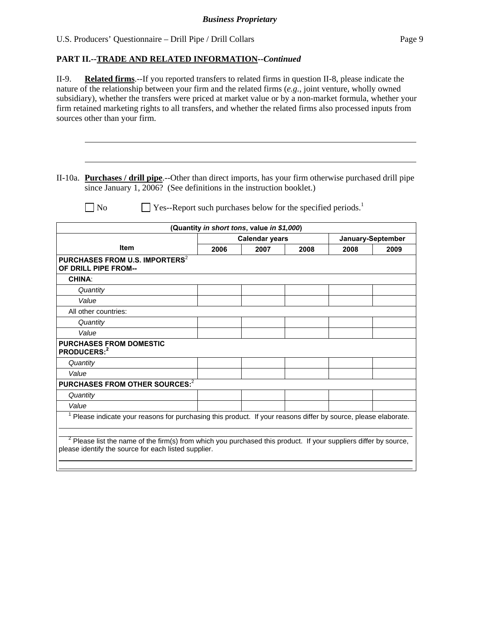### **PART II.--TRADE AND RELATED INFORMATION***--Continued*

II-9. **Related firms**.--If you reported transfers to related firms in question II-8, please indicate the nature of the relationship between your firm and the related firms (*e.g.*, joint venture, wholly owned subsidiary), whether the transfers were priced at market value or by a non-market formula, whether your firm retained marketing rights to all transfers, and whether the related firms also processed inputs from sources other than your firm.

| II-10a. <b>Purchases / drill pipe</b> .--Other than direct imports, has your firm otherwise purchased drill pipe |  |  |
|------------------------------------------------------------------------------------------------------------------|--|--|
| since January 1, 2006? (See definitions in the instruction booklet.)                                             |  |  |

l

 $\overline{a}$ 

 $\Box$  No  $\Box$  Yes--Report such purchases below for the specified periods.<sup>1</sup>

|                                                                                                                    |      | (Quantity in short tons, value in \$1,000)<br><b>Calendar years</b> |      |      | January-September |
|--------------------------------------------------------------------------------------------------------------------|------|---------------------------------------------------------------------|------|------|-------------------|
| <b>Item</b>                                                                                                        |      |                                                                     |      | 2008 |                   |
|                                                                                                                    | 2006 | 2007                                                                | 2008 |      | 2009              |
| PURCHASES FROM U.S. IMPORTERS <sup>2</sup><br>OF DRILL PIPE FROM--                                                 |      |                                                                     |      |      |                   |
| <b>CHINA:</b>                                                                                                      |      |                                                                     |      |      |                   |
| Quantity                                                                                                           |      |                                                                     |      |      |                   |
| Value                                                                                                              |      |                                                                     |      |      |                   |
| All other countries:                                                                                               |      |                                                                     |      |      |                   |
| Quantity                                                                                                           |      |                                                                     |      |      |                   |
| Value                                                                                                              |      |                                                                     |      |      |                   |
| <b>PURCHASES FROM DOMESTIC</b><br>PRODUCERS: <sup>2</sup>                                                          |      |                                                                     |      |      |                   |
| Quantity                                                                                                           |      |                                                                     |      |      |                   |
| Value                                                                                                              |      |                                                                     |      |      |                   |
| PURCHASES FROM OTHER SOURCES: <sup>2</sup>                                                                         |      |                                                                     |      |      |                   |
| Quantity                                                                                                           |      |                                                                     |      |      |                   |
| Value                                                                                                              |      |                                                                     |      |      |                   |
| Please indicate your reasons for purchasing this product. If your reasons differ by source, please elaborate.      |      |                                                                     |      |      |                   |
|                                                                                                                    |      |                                                                     |      |      |                   |
| $2$ Please list the name of the firm(s) from which you purchased this product. If your suppliers differ by source, |      |                                                                     |      |      |                   |
| please identify the source for each listed supplier.                                                               |      |                                                                     |      |      |                   |
|                                                                                                                    |      |                                                                     |      |      |                   |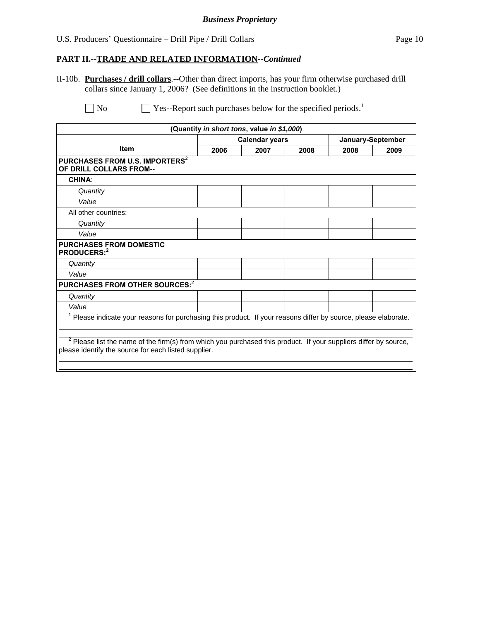#### *Business Proprietary*

# U.S. Producers' Questionnaire – Drill Pipe / Drill Collars Page 10

# **PART II.--TRADE AND RELATED INFORMATION***--Continued*

II-10b. **Purchases / drill collars**.--Other than direct imports, has your firm otherwise purchased drill collars since January 1, 2006? (See definitions in the instruction booklet.)

 $\Box$  No  $\Box$  Yes--Report such purchases below for the specified periods.<sup>1</sup>

|                                                                                                                                                                            | (Quantity in short tons, value in \$1,000) |                       |      |      |                   |
|----------------------------------------------------------------------------------------------------------------------------------------------------------------------------|--------------------------------------------|-----------------------|------|------|-------------------|
|                                                                                                                                                                            |                                            | <b>Calendar years</b> |      |      | January-September |
| <b>Item</b>                                                                                                                                                                | 2006                                       | 2007                  | 2008 | 2008 | 2009              |
| PURCHASES FROM U.S. IMPORTERS <sup>2</sup><br>OF DRILL COLLARS FROM--                                                                                                      |                                            |                       |      |      |                   |
| <b>CHINA:</b>                                                                                                                                                              |                                            |                       |      |      |                   |
| Quantity                                                                                                                                                                   |                                            |                       |      |      |                   |
| Value                                                                                                                                                                      |                                            |                       |      |      |                   |
| All other countries:                                                                                                                                                       |                                            |                       |      |      |                   |
| Quantity                                                                                                                                                                   |                                            |                       |      |      |                   |
| Value                                                                                                                                                                      |                                            |                       |      |      |                   |
| <b>PURCHASES FROM DOMESTIC</b><br>PRODUCERS:2                                                                                                                              |                                            |                       |      |      |                   |
| Quantity                                                                                                                                                                   |                                            |                       |      |      |                   |
| Value                                                                                                                                                                      |                                            |                       |      |      |                   |
| PURCHASES FROM OTHER SOURCES: <sup>2</sup>                                                                                                                                 |                                            |                       |      |      |                   |
| Quantity                                                                                                                                                                   |                                            |                       |      |      |                   |
| Value                                                                                                                                                                      |                                            |                       |      |      |                   |
| Please indicate your reasons for purchasing this product. If your reasons differ by source, please elaborate.                                                              |                                            |                       |      |      |                   |
| $2$ Please list the name of the firm(s) from which you purchased this product. If your suppliers differ by source,<br>please identify the source for each listed supplier. |                                            |                       |      |      |                   |
|                                                                                                                                                                            |                                            |                       |      |      |                   |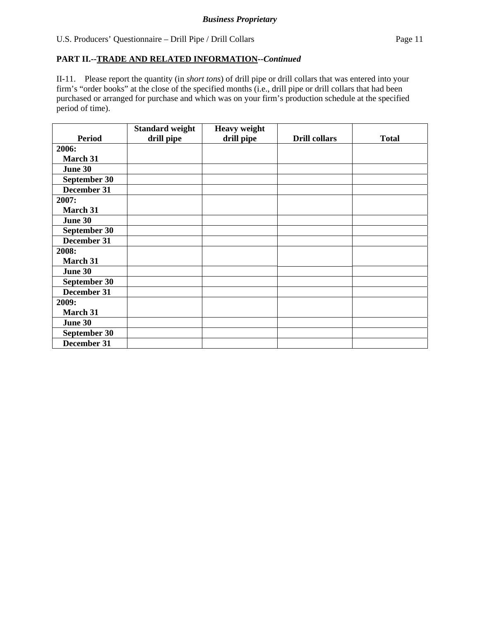II-11. Please report the quantity (in *short tons*) of drill pipe or drill collars that was entered into your firm's "order books" at the close of the specified months (i.e., drill pipe or drill collars that had been purchased or arranged for purchase and which was on your firm's production schedule at the specified period of time).

|               | <b>Standard weight</b> | <b>Heavy weight</b> |                      |              |
|---------------|------------------------|---------------------|----------------------|--------------|
| <b>Period</b> | drill pipe             | drill pipe          | <b>Drill collars</b> | <b>Total</b> |
| 2006:         |                        |                     |                      |              |
| March 31      |                        |                     |                      |              |
| June 30       |                        |                     |                      |              |
| September 30  |                        |                     |                      |              |
| December 31   |                        |                     |                      |              |
| 2007:         |                        |                     |                      |              |
| March 31      |                        |                     |                      |              |
| June 30       |                        |                     |                      |              |
| September 30  |                        |                     |                      |              |
| December 31   |                        |                     |                      |              |
| 2008:         |                        |                     |                      |              |
| March 31      |                        |                     |                      |              |
| June 30       |                        |                     |                      |              |
| September 30  |                        |                     |                      |              |
| December 31   |                        |                     |                      |              |
| 2009:         |                        |                     |                      |              |
| March 31      |                        |                     |                      |              |
| June 30       |                        |                     |                      |              |
| September 30  |                        |                     |                      |              |
| December 31   |                        |                     |                      |              |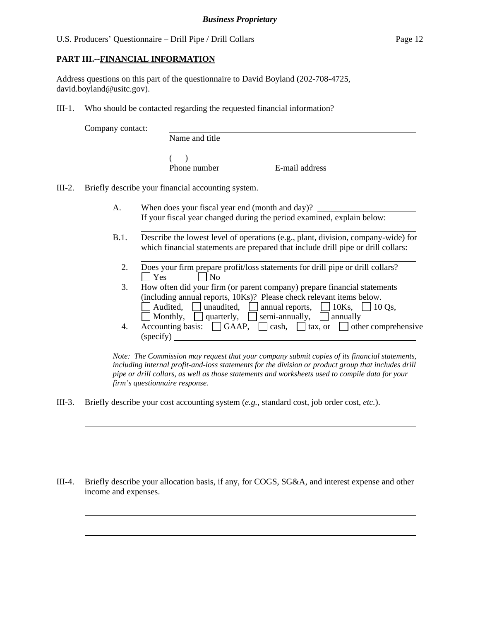### **PART III.--FINANCIAL INFORMATION**

Address questions on this part of the questionnaire to David Boyland (202-708-4725, david.boyland@usitc.gov).

III-1. Who should be contacted regarding the requested financial information?

Company contact:

l

 $\overline{a}$ 

 $\overline{a}$ 

 $\overline{a}$ 

 $\overline{a}$ 

 $\overline{a}$ 

Name and title

 $($ 

Phone number E-mail address

III-2. Briefly describe your financial accounting system.

l

- A. When does your fiscal year end (month and day)? If your fiscal year changed during the period examined, explain below:
- B.1. Describe the lowest level of operations (e.g., plant, division, company-wide) for which financial statements are prepared that include drill pipe or drill collars:
	- l 2. Does your firm prepare profit/loss statements for drill pipe or drill collars?  $\Box$  Yes  $\Box$  No
	- 3. How often did your firm (or parent company) prepare financial statements (including annual reports, 10Ks)? Please check relevant items below. Audited, unaudited, annual reports,  $\Box$  10Ks,  $\Box$  10 Qs, Monthly,  $\Box$  quarterly,  $\Box$  semi-annually,  $\Box$  annually
	- 4. Accounting basis:  $\Box$  GAAP,  $\Box$  cash,  $\Box$  tax, or  $\Box$  other comprehensive (specify)

*Note: The Commission may request that your company submit copies of its financial statements, including internal profit-and-loss statements for the division or product group that includes drill pipe or drill collars, as well as those statements and worksheets used to compile data for your firm's questionnaire response.* 

III-3. Briefly describe your cost accounting system (*e.g.*, standard cost, job order cost, *etc.*).

III-4. Briefly describe your allocation basis, if any, for COGS, SG&A, and interest expense and other income and expenses.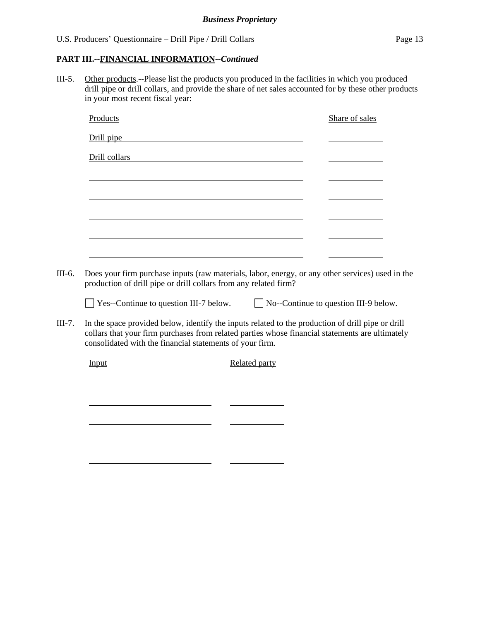# **PART III.--FINANCIAL INFORMATION***--Continued*

III-5. Other products.--Please list the products you produced in the facilities in which you produced drill pipe or drill collars, and provide the share of net sales accounted for by these other products in your most recent fiscal year:

|                                                                                                                                                                                                                                                                  |               | Share of sales                               |
|------------------------------------------------------------------------------------------------------------------------------------------------------------------------------------------------------------------------------------------------------------------|---------------|----------------------------------------------|
| Drill pipe                                                                                                                                                                                                                                                       |               |                                              |
| Drill collars                                                                                                                                                                                                                                                    |               |                                              |
|                                                                                                                                                                                                                                                                  |               |                                              |
|                                                                                                                                                                                                                                                                  |               |                                              |
|                                                                                                                                                                                                                                                                  |               |                                              |
|                                                                                                                                                                                                                                                                  |               |                                              |
|                                                                                                                                                                                                                                                                  |               |                                              |
| $\Box$ Yes--Continue to question III-7 below.                                                                                                                                                                                                                    |               | $\Box$ No--Continue to question III-9 below. |
| In the space provided below, identify the inputs related to the production of drill pipe or drill<br>collars that your firm purchases from related parties whose financial statements are ultimately<br>consolidated with the financial statements of your firm. |               |                                              |
| Input                                                                                                                                                                                                                                                            | Related party |                                              |
|                                                                                                                                                                                                                                                                  |               |                                              |
|                                                                                                                                                                                                                                                                  |               |                                              |
|                                                                                                                                                                                                                                                                  |               |                                              |
|                                                                                                                                                                                                                                                                  |               |                                              |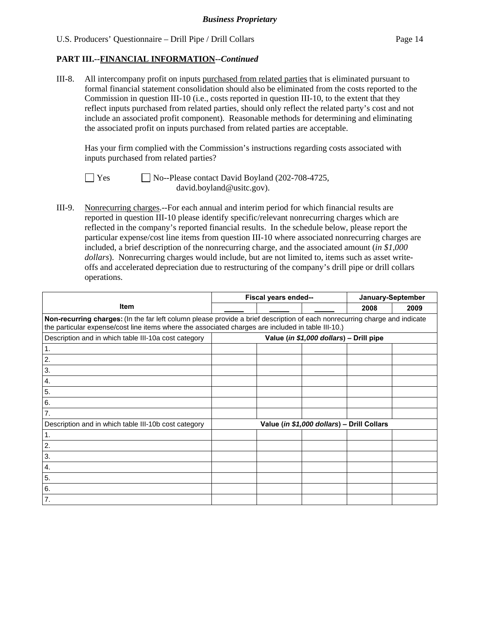# **PART III.--FINANCIAL INFORMATION***--Continued*

III-8. All intercompany profit on inputs purchased from related parties that is eliminated pursuant to formal financial statement consolidation should also be eliminated from the costs reported to the Commission in question III-10 (i.e., costs reported in question III-10, to the extent that they reflect inputs purchased from related parties, should only reflect the related party's cost and not include an associated profit component). Reasonable methods for determining and eliminating the associated profit on inputs purchased from related parties are acceptable.

 Has your firm complied with the Commission's instructions regarding costs associated with inputs purchased from related parties?

 $\Box$  Yes  $\Box$  No--Please contact David Boyland (202-708-4725, david.boyland@usitc.gov).

III-9. Nonrecurring charges.--For each annual and interim period for which financial results are reported in question III-10 please identify specific/relevant nonrecurring charges which are reflected in the company's reported financial results. In the schedule below, please report the particular expense/cost line items from question III-10 where associated nonrecurring charges are included, a brief description of the nonrecurring charge, and the associated amount (*in \$1,000 dollars*). Nonrecurring charges would include, but are not limited to, items such as asset writeoffs and accelerated depreciation due to restructuring of the company's drill pipe or drill collars operations.

|                                                                                                                                                                                                                                  |                                            | Fiscal years ended-- |                                         | January-September |      |  |
|----------------------------------------------------------------------------------------------------------------------------------------------------------------------------------------------------------------------------------|--------------------------------------------|----------------------|-----------------------------------------|-------------------|------|--|
| <b>Item</b>                                                                                                                                                                                                                      |                                            |                      |                                         | 2008              | 2009 |  |
| Non-recurring charges: (In the far left column please provide a brief description of each nonrecurring charge and indicate<br>the particular expense/cost line items where the associated charges are included in table III-10.) |                                            |                      |                                         |                   |      |  |
| Description and in which table III-10a cost category                                                                                                                                                                             |                                            |                      | Value (in \$1,000 dollars) - Drill pipe |                   |      |  |
| 1.                                                                                                                                                                                                                               |                                            |                      |                                         |                   |      |  |
| 2.                                                                                                                                                                                                                               |                                            |                      |                                         |                   |      |  |
| 3.                                                                                                                                                                                                                               |                                            |                      |                                         |                   |      |  |
| 4.                                                                                                                                                                                                                               |                                            |                      |                                         |                   |      |  |
| 5.                                                                                                                                                                                                                               |                                            |                      |                                         |                   |      |  |
| 6.                                                                                                                                                                                                                               |                                            |                      |                                         |                   |      |  |
| 7.                                                                                                                                                                                                                               |                                            |                      |                                         |                   |      |  |
| Description and in which table III-10b cost category                                                                                                                                                                             | Value (in \$1,000 dollars) - Drill Collars |                      |                                         |                   |      |  |
| $\mathbf{1}$ .                                                                                                                                                                                                                   |                                            |                      |                                         |                   |      |  |
| 2.                                                                                                                                                                                                                               |                                            |                      |                                         |                   |      |  |
| 3.                                                                                                                                                                                                                               |                                            |                      |                                         |                   |      |  |
| 4.                                                                                                                                                                                                                               |                                            |                      |                                         |                   |      |  |
| 5.                                                                                                                                                                                                                               |                                            |                      |                                         |                   |      |  |
| 6.                                                                                                                                                                                                                               |                                            |                      |                                         |                   |      |  |
| 7.                                                                                                                                                                                                                               |                                            |                      |                                         |                   |      |  |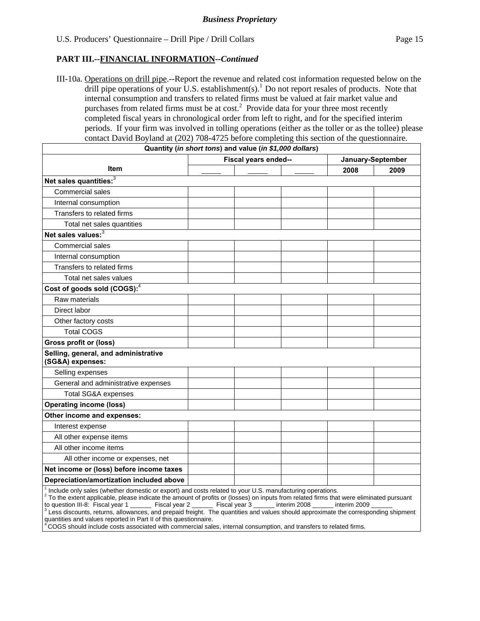### **PART III.--FINANCIAL INFORMATION***--Continued*

III-10a. Operations on drill pipe.--Report the revenue and related cost information requested below on the drill pipe operations of your U.S. establishment(s).<sup>1</sup> Do not report resales of products. Note that internal consumption and transfers to related firms must be valued at fair market value and purchases from related firms must be at  $cost<sup>2</sup>$ . Provide data for your three most recently completed fiscal years in chronological order from left to right, and for the specified interim periods. If your firm was involved in tolling operations (either as the toller or as the tollee) please contact David Boyland at (202) 708-4725 before completing this section of the questionnaire.

|                                                          | Quantity (in short tons) and value (in \$1,000 dollars) |                   |      |  |
|----------------------------------------------------------|---------------------------------------------------------|-------------------|------|--|
|                                                          | Fiscal years ended--                                    | January-September |      |  |
| <b>Item</b>                                              |                                                         | 2008              | 2009 |  |
| Net sales quantities: <sup>3</sup>                       |                                                         |                   |      |  |
| Commercial sales                                         |                                                         |                   |      |  |
| Internal consumption                                     |                                                         |                   |      |  |
| Transfers to related firms                               |                                                         |                   |      |  |
| Total net sales quantities                               |                                                         |                   |      |  |
| Net sales values: <sup>3</sup>                           |                                                         |                   |      |  |
| Commercial sales                                         |                                                         |                   |      |  |
| Internal consumption                                     |                                                         |                   |      |  |
| Transfers to related firms                               |                                                         |                   |      |  |
| Total net sales values                                   |                                                         |                   |      |  |
| Cost of goods sold (COGS): <sup>4</sup>                  |                                                         |                   |      |  |
| Raw materials                                            |                                                         |                   |      |  |
| Direct labor                                             |                                                         |                   |      |  |
| Other factory costs                                      |                                                         |                   |      |  |
| <b>Total COGS</b>                                        |                                                         |                   |      |  |
| Gross profit or (loss)                                   |                                                         |                   |      |  |
| Selling, general, and administrative<br>(SG&A) expenses: |                                                         |                   |      |  |
| Selling expenses                                         |                                                         |                   |      |  |
| General and administrative expenses                      |                                                         |                   |      |  |
| <b>Total SG&amp;A expenses</b>                           |                                                         |                   |      |  |
| <b>Operating income (loss)</b>                           |                                                         |                   |      |  |
| Other income and expenses:                               |                                                         |                   |      |  |
| Interest expense                                         |                                                         |                   |      |  |
| All other expense items                                  |                                                         |                   |      |  |
| All other income items                                   |                                                         |                   |      |  |
| All other income or expenses, net                        |                                                         |                   |      |  |
| Net income or (loss) before income taxes                 |                                                         |                   |      |  |
| Depreciation/amortization included above                 |                                                         |                   |      |  |
|                                                          |                                                         |                   |      |  |

1 Include only sales (whether domestic or export) and costs related to your U.S. manufacturing operations. 2

<sup>2</sup> To the extent applicable, please indicate the amount of profits or (losses) on inputs from related firms that were eliminated pursuant to question III-8: Fiscal year 1 \_\_\_\_\_\_\_\_ Fiscal year 2 \_\_\_\_\_\_\_ Fiscal year 3 \_\_\_\_ to question III-8: Fiscal year 1 \_\_\_\_\_\_\_ Fiscal year 2 \_\_\_\_\_\_ Fiscal year 3 \_\_\_\_\_\_ interim 2008 \_\_\_\_\_\_ interim 2009 \_\_\_\_\_\_<br><sup>3</sup> Less discounts, returns, allowances, and prepaid freight. The quantities and values should appr quantities and values reported in Part II of this questionnaire.

4 COGS should include costs associated with commercial sales, internal consumption, and transfers to related firms.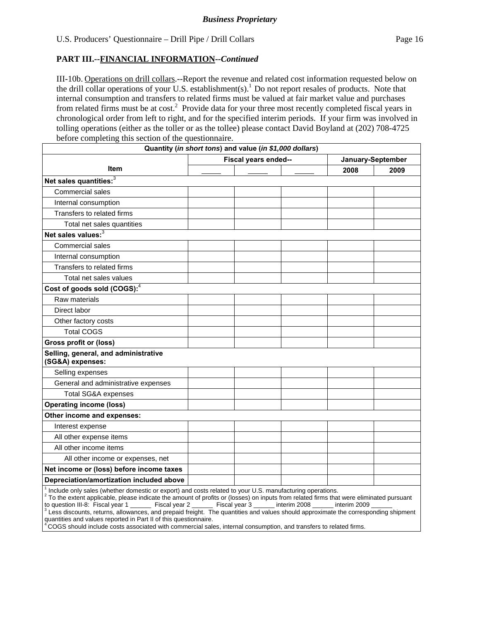### **PART III.--FINANCIAL INFORMATION***--Continued*

III-10b. Operations on drill collars.--Report the revenue and related cost information requested below on the drill collar operations of your U.S. establishment(s).1 Do not report resales of products. Note that internal consumption and transfers to related firms must be valued at fair market value and purchases from related firms must be at  $cost^2$  Provide data for your three most recently completed fiscal years in chronological order from left to right, and for the specified interim periods. If your firm was involved in tolling operations (either as the toller or as the tollee) please contact David Boyland at (202) 708-4725 before completing this section of the questionnaire.

|                                                          | Quantity (in short tons) and value (in \$1,000 dollars) |      |                   |  |
|----------------------------------------------------------|---------------------------------------------------------|------|-------------------|--|
|                                                          | Fiscal years ended--                                    |      | January-September |  |
| <b>Item</b>                                              |                                                         | 2008 | 2009              |  |
| Net sales quantities: <sup>3</sup>                       |                                                         |      |                   |  |
| <b>Commercial sales</b>                                  |                                                         |      |                   |  |
| Internal consumption                                     |                                                         |      |                   |  |
| Transfers to related firms                               |                                                         |      |                   |  |
| Total net sales quantities                               |                                                         |      |                   |  |
| Net sales values: <sup>3</sup>                           |                                                         |      |                   |  |
| Commercial sales                                         |                                                         |      |                   |  |
| Internal consumption                                     |                                                         |      |                   |  |
| Transfers to related firms                               |                                                         |      |                   |  |
| Total net sales values                                   |                                                         |      |                   |  |
| Cost of goods sold (COGS): <sup>4</sup>                  |                                                         |      |                   |  |
| Raw materials                                            |                                                         |      |                   |  |
| Direct labor                                             |                                                         |      |                   |  |
| Other factory costs                                      |                                                         |      |                   |  |
| <b>Total COGS</b>                                        |                                                         |      |                   |  |
| Gross profit or (loss)                                   |                                                         |      |                   |  |
| Selling, general, and administrative<br>(SG&A) expenses: |                                                         |      |                   |  |
| Selling expenses                                         |                                                         |      |                   |  |
| General and administrative expenses                      |                                                         |      |                   |  |
| Total SG&A expenses                                      |                                                         |      |                   |  |
| <b>Operating income (loss)</b>                           |                                                         |      |                   |  |
| Other income and expenses:                               |                                                         |      |                   |  |
| Interest expense                                         |                                                         |      |                   |  |
| All other expense items                                  |                                                         |      |                   |  |
| All other income items                                   |                                                         |      |                   |  |
| All other income or expenses, net                        |                                                         |      |                   |  |
| Net income or (loss) before income taxes                 |                                                         |      |                   |  |
| Depreciation/amortization included above                 |                                                         |      |                   |  |

1 Include only sales (whether domestic or export) and costs related to your U.S. manufacturing operations. 2

<sup>2</sup> To the extent applicable, please indicate the amount of profits or (losses) on inputs from related firms that were eliminated pursuant to question III-8: Fiscal year 1 \_\_\_\_\_\_\_\_ Fiscal year 2 \_\_\_\_\_\_\_ Fiscal year 3 \_\_\_\_ to question III-8: Fiscal year 1 \_\_\_\_\_\_\_ Fiscal year 2 \_\_\_\_\_\_ Fiscal year 3 \_\_\_\_\_\_ interim 2008 \_\_\_\_\_\_ interim 2009 \_\_\_\_\_\_<br><sup>3</sup> Less discounts, returns, allowances, and prepaid freight. The quantities and values should appr quantities and values reported in Part II of this questionnaire.

<sup>4</sup>COGS should include costs associated with commercial sales, internal consumption, and transfers to related firms.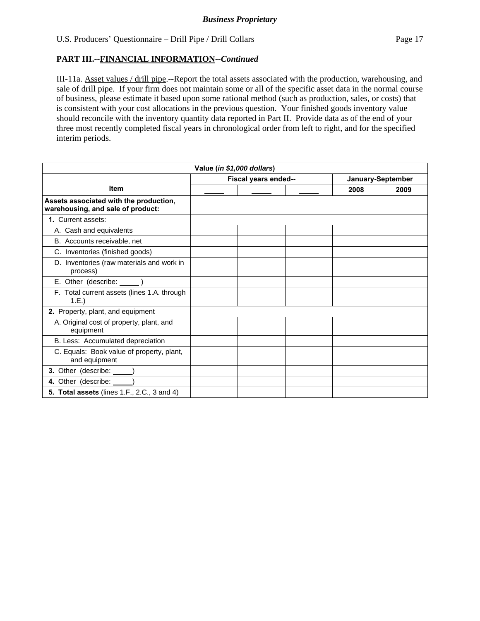# **PART III.--FINANCIAL INFORMATION***--Continued*

III-11a. Asset values / drill pipe.--Report the total assets associated with the production, warehousing, and sale of drill pipe. If your firm does not maintain some or all of the specific asset data in the normal course of business, please estimate it based upon some rational method (such as production, sales, or costs) that is consistent with your cost allocations in the previous question. Your finished goods inventory value should reconcile with the inventory quantity data reported in Part II. Provide data as of the end of your three most recently completed fiscal years in chronological order from left to right, and for the specified interim periods.

| Value (in \$1,000 dollars)                                                  |                      |  |      |                   |  |
|-----------------------------------------------------------------------------|----------------------|--|------|-------------------|--|
|                                                                             | Fiscal years ended-- |  |      | January-September |  |
| <b>Item</b>                                                                 |                      |  | 2008 | 2009              |  |
| Assets associated with the production,<br>warehousing, and sale of product: |                      |  |      |                   |  |
| 1. Current assets:                                                          |                      |  |      |                   |  |
| A. Cash and equivalents                                                     |                      |  |      |                   |  |
| B. Accounts receivable, net                                                 |                      |  |      |                   |  |
| C. Inventories (finished goods)                                             |                      |  |      |                   |  |
| D. Inventories (raw materials and work in<br>process)                       |                      |  |      |                   |  |
| E. Other (describe: ______)                                                 |                      |  |      |                   |  |
| F. Total current assets (lines 1.A. through<br>1.E.)                        |                      |  |      |                   |  |
| 2. Property, plant, and equipment                                           |                      |  |      |                   |  |
| A. Original cost of property, plant, and<br>equipment                       |                      |  |      |                   |  |
| B. Less: Accumulated depreciation                                           |                      |  |      |                   |  |
| C. Equals: Book value of property, plant,<br>and equipment                  |                      |  |      |                   |  |
| 3. Other (describe: _____)                                                  |                      |  |      |                   |  |
| 4. Other (describe: ______)                                                 |                      |  |      |                   |  |
| <b>5. Total assets (lines 1.F., 2.C., 3 and 4)</b>                          |                      |  |      |                   |  |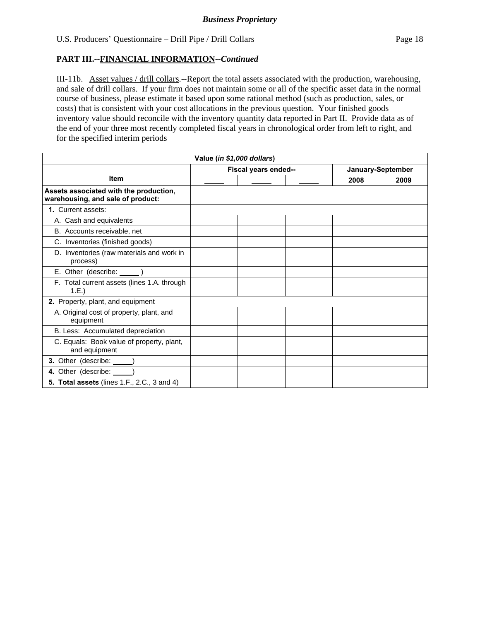### **PART III.--FINANCIAL INFORMATION***--Continued*

III-11b. Asset values / drill collars.--Report the total assets associated with the production, warehousing, and sale of drill collars. If your firm does not maintain some or all of the specific asset data in the normal course of business, please estimate it based upon some rational method (such as production, sales, or costs) that is consistent with your cost allocations in the previous question. Your finished goods inventory value should reconcile with the inventory quantity data reported in Part II. Provide data as of the end of your three most recently completed fiscal years in chronological order from left to right, and for the specified interim periods

|                                                                             | Value (in \$1,000 dollars) |      |                   |
|-----------------------------------------------------------------------------|----------------------------|------|-------------------|
|                                                                             | Fiscal years ended--       |      | January-September |
| <b>Item</b>                                                                 |                            | 2008 | 2009              |
| Assets associated with the production,<br>warehousing, and sale of product: |                            |      |                   |
| 1. Current assets:                                                          |                            |      |                   |
| A. Cash and equivalents                                                     |                            |      |                   |
| B. Accounts receivable, net                                                 |                            |      |                   |
| C. Inventories (finished goods)                                             |                            |      |                   |
| D. Inventories (raw materials and work in<br>process)                       |                            |      |                   |
| E. Other (describe: ______)                                                 |                            |      |                   |
| F. Total current assets (lines 1.A. through<br>1.E.)                        |                            |      |                   |
| 2. Property, plant, and equipment                                           |                            |      |                   |
| A. Original cost of property, plant, and<br>equipment                       |                            |      |                   |
| B. Less: Accumulated depreciation                                           |                            |      |                   |
| C. Equals: Book value of property, plant,<br>and equipment                  |                            |      |                   |
| 3. Other (describe: _____)                                                  |                            |      |                   |
| 4. Other (describe: )                                                       |                            |      |                   |
| <b>5. Total assets (lines 1.F., 2.C., 3 and 4)</b>                          |                            |      |                   |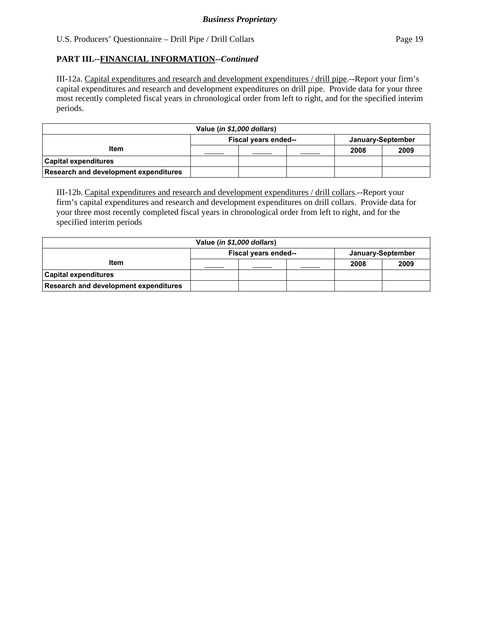# **PART III.--FINANCIAL INFORMATION***--Continued*

III-12a. Capital expenditures and research and development expenditures / drill pipe.--Report your firm's capital expenditures and research and development expenditures on drill pipe. Provide data for your three most recently completed fiscal years in chronological order from left to right, and for the specified interim periods.

| Value (in \$1,000 dollars)            |                                           |  |      |      |  |
|---------------------------------------|-------------------------------------------|--|------|------|--|
|                                       | Fiscal years ended--<br>January-September |  |      |      |  |
| Item                                  |                                           |  | 2008 | 2009 |  |
| <b>Capital expenditures</b>           |                                           |  |      |      |  |
| Research and development expenditures |                                           |  |      |      |  |

III-12b. Capital expenditures and research and development expenditures / drill collars.--Report your firm's capital expenditures and research and development expenditures on drill collars. Provide data for your three most recently completed fiscal years in chronological order from left to right, and for the specified interim periods

| Value (in \$1,000 dollars)            |                      |  |  |                   |      |
|---------------------------------------|----------------------|--|--|-------------------|------|
|                                       | Fiscal years ended-- |  |  | January-September |      |
| <b>Item</b>                           |                      |  |  | 2008              | 2009 |
| <b>Capital expenditures</b>           |                      |  |  |                   |      |
| Research and development expenditures |                      |  |  |                   |      |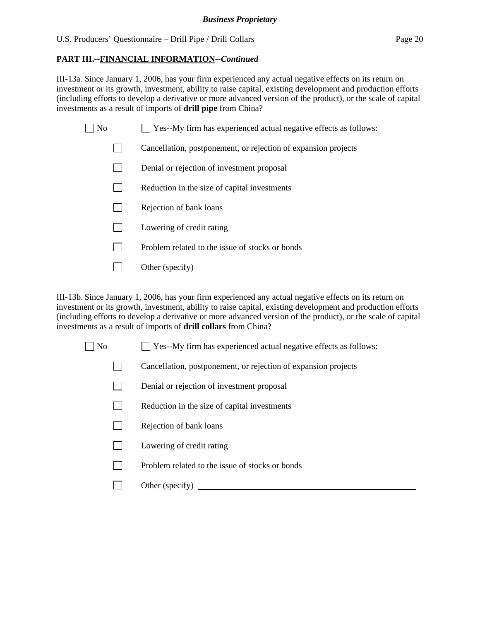# **PART III.--FINANCIAL INFORMATION***--Continued*

III-13a. Since January 1, 2006, has your firm experienced any actual negative effects on its return on investment or its growth, investment, ability to raise capital, existing development and production efforts (including efforts to develop a derivative or more advanced version of the product), or the scale of capital investments as a result of imports of **drill pipe** from China?

| N <sub>0</sub> | Yes--My firm has experienced actual negative effects as follows: |
|----------------|------------------------------------------------------------------|
|                | Cancellation, postponement, or rejection of expansion projects   |
|                | Denial or rejection of investment proposal                       |
|                | Reduction in the size of capital investments                     |
|                | Rejection of bank loans                                          |
|                | Lowering of credit rating                                        |
|                | Problem related to the issue of stocks or bonds                  |
|                | Other (specify)                                                  |
|                |                                                                  |

III-13b. Since January 1, 2006, has your firm experienced any actual negative effects on its return on investment or its growth, investment, ability to raise capital, existing development and production efforts (including efforts to develop a derivative or more advanced version of the product), or the scale of capital investments as a result of imports of **drill collars** from China?

 $\Box$  No  $\Box$  Yes--My firm has experienced actual negative effects as follows:

Cancellation, postponement, or rejection of expansion projects

- Denial or rejection of investment proposal
- $\Box$  Reduction in the size of capital investments
- $\Box$  Rejection of bank loans
- **Lowering of credit rating**
- $\Box$  Problem related to the issue of stocks or bonds
- Other (specify)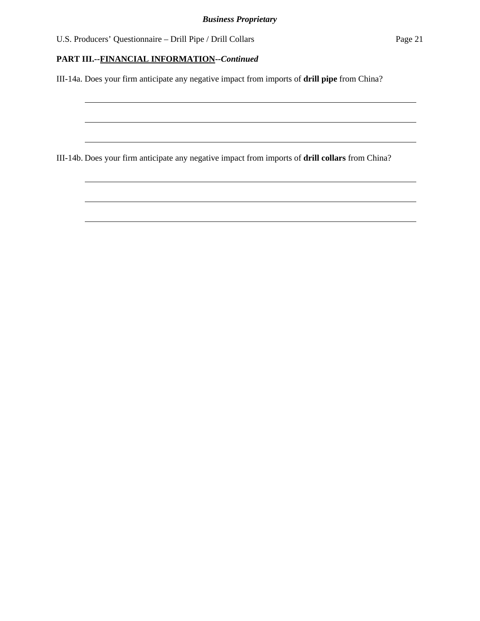<u> 1989 - Johann Barnett, fransk politiker (d. 1989)</u>

U.S. Producers' Questionnaire – Drill Pipe / Drill Collars Page 21

# **PART III.--FINANCIAL INFORMATION***--Continued*

l

 $\overline{a}$ 

 $\overline{a}$ 

 $\overline{a}$ 

 $\overline{a}$ 

 $\overline{a}$ 

III-14a. Does your firm anticipate any negative impact from imports of **drill pipe** from China?

III-14b. Does your firm anticipate any negative impact from imports of **drill collars** from China?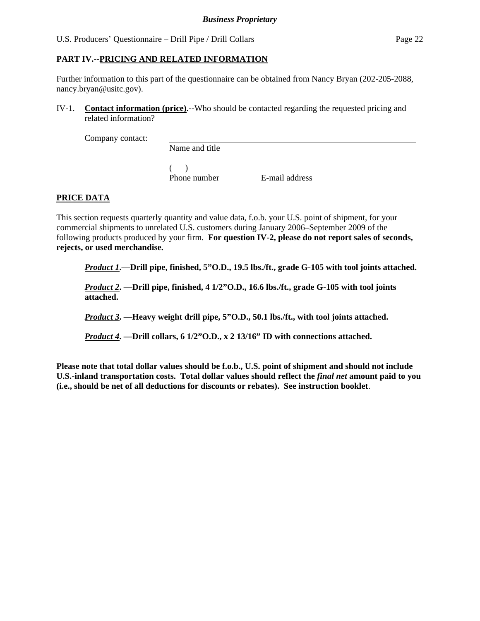### **PART IV.--PRICING AND RELATED INFORMATION**

Further information to this part of the questionnaire can be obtained from Nancy Bryan (202-205-2088, nancy.bryan@usitc.gov).

IV-1. **Contact information (price).--**Who should be contacted regarding the requested pricing and related information?

Company contact:

Name and title

 $($ 

Phone number E-mail address

# **PRICE DATA**

This section requests quarterly quantity and value data, f.o.b. your U.S. point of shipment, for your commercial shipments to unrelated U.S. customers during January 2006–September 2009 of the following products produced by your firm. **For question IV-2, please do not report sales of seconds, rejects, or used merchandise.**

*Product 1***.—Drill pipe, finished, 5"O.D., 19.5 lbs./ft., grade G-105 with tool joints attached.** 

*Product 2***. —Drill pipe, finished, 4 1/2"O.D., 16.6 lbs./ft., grade G-105 with tool joints attached.** 

*Product 3***. —Heavy weight drill pipe, 5"O.D., 50.1 lbs./ft., with tool joints attached.** 

*Product 4***. —Drill collars, 6 1/2"O.D., x 2 13/16" ID with connections attached.** 

**Please note that total dollar values should be f.o.b., U.S. point of shipment and should not include U.S.-inland transportation costs. Total dollar values should reflect the** *final net* **amount paid to you (i.e., should be net of all deductions for discounts or rebates). See instruction booklet**.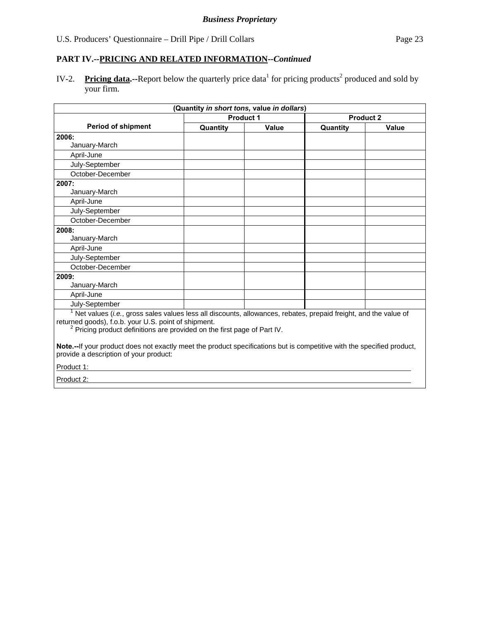IV-2. Pricing data.--Report below the quarterly price data<sup>1</sup> for pricing products<sup>2</sup> produced and sold by your firm.

|                                                                                                                                                                  | (Quantity in short tons, value in dollars) |       |  |                  |
|------------------------------------------------------------------------------------------------------------------------------------------------------------------|--------------------------------------------|-------|--|------------------|
|                                                                                                                                                                  | <b>Product 1</b>                           |       |  | <b>Product 2</b> |
| <b>Period of shipment</b>                                                                                                                                        | Quantity                                   | Value |  | <b>Value</b>     |
| 2006:                                                                                                                                                            |                                            |       |  |                  |
| January-March                                                                                                                                                    |                                            |       |  |                  |
| April-June                                                                                                                                                       |                                            |       |  |                  |
| July-September                                                                                                                                                   |                                            |       |  |                  |
| October-December                                                                                                                                                 |                                            |       |  |                  |
| 2007:                                                                                                                                                            |                                            |       |  |                  |
| January-March                                                                                                                                                    |                                            |       |  |                  |
| April-June                                                                                                                                                       |                                            |       |  |                  |
| July-September                                                                                                                                                   |                                            |       |  |                  |
| October-December                                                                                                                                                 |                                            |       |  |                  |
| 2008:                                                                                                                                                            |                                            |       |  |                  |
| January-March                                                                                                                                                    |                                            |       |  |                  |
| April-June                                                                                                                                                       |                                            |       |  |                  |
| July-September                                                                                                                                                   |                                            |       |  |                  |
| October-December                                                                                                                                                 |                                            |       |  |                  |
| 2009:                                                                                                                                                            |                                            |       |  |                  |
| January-March                                                                                                                                                    |                                            |       |  |                  |
| April-June                                                                                                                                                       |                                            |       |  |                  |
| July-September                                                                                                                                                   |                                            |       |  |                  |
| Net values (i.e., gross sales values less all discounts, allowances, rebates, prepaid freight, and the value of                                                  |                                            |       |  |                  |
| returned goods), f.o.b. your U.S. point of shipment.                                                                                                             |                                            |       |  |                  |
| <sup>2</sup> Pricing product definitions are provided on the first page of Part IV.                                                                              |                                            |       |  |                  |
|                                                                                                                                                                  |                                            |       |  |                  |
| Note.--If your product does not exactly meet the product specifications but is competitive with the specified product,<br>provide a description of your product: |                                            |       |  |                  |
|                                                                                                                                                                  |                                            |       |  |                  |

Product 1:

Product 2: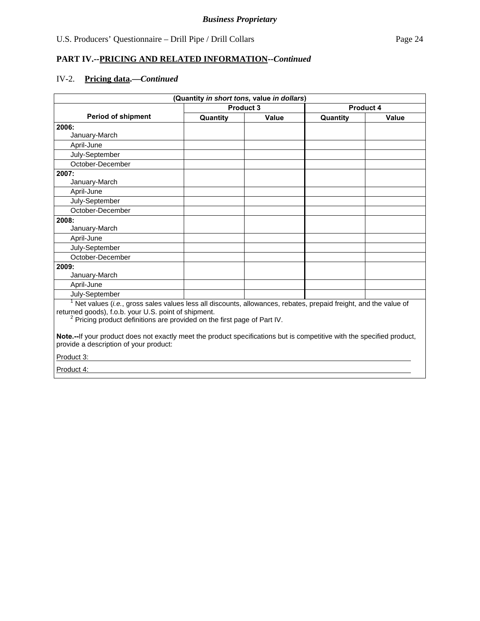# **PART IV.--PRICING AND RELATED INFORMATION***--Continued*

# IV-2. **Pricing data.—***Continued*

| (Quantity in short tons, value in dollars)                                                                                                                                                                                                                     |          |                  |          |           |
|----------------------------------------------------------------------------------------------------------------------------------------------------------------------------------------------------------------------------------------------------------------|----------|------------------|----------|-----------|
|                                                                                                                                                                                                                                                                |          | <b>Product 3</b> |          | Product 4 |
| <b>Period of shipment</b>                                                                                                                                                                                                                                      | Quantity | Value            | Quantity | Value     |
| 2006:                                                                                                                                                                                                                                                          |          |                  |          |           |
| January-March                                                                                                                                                                                                                                                  |          |                  |          |           |
| April-June                                                                                                                                                                                                                                                     |          |                  |          |           |
| July-September                                                                                                                                                                                                                                                 |          |                  |          |           |
| October-December                                                                                                                                                                                                                                               |          |                  |          |           |
| 2007:                                                                                                                                                                                                                                                          |          |                  |          |           |
| January-March                                                                                                                                                                                                                                                  |          |                  |          |           |
| April-June                                                                                                                                                                                                                                                     |          |                  |          |           |
| July-September                                                                                                                                                                                                                                                 |          |                  |          |           |
| October-December                                                                                                                                                                                                                                               |          |                  |          |           |
| 2008:                                                                                                                                                                                                                                                          |          |                  |          |           |
| January-March                                                                                                                                                                                                                                                  |          |                  |          |           |
| April-June                                                                                                                                                                                                                                                     |          |                  |          |           |
| July-September                                                                                                                                                                                                                                                 |          |                  |          |           |
| October-December                                                                                                                                                                                                                                               |          |                  |          |           |
| 2009:                                                                                                                                                                                                                                                          |          |                  |          |           |
| January-March                                                                                                                                                                                                                                                  |          |                  |          |           |
| April-June                                                                                                                                                                                                                                                     |          |                  |          |           |
| July-September                                                                                                                                                                                                                                                 |          |                  |          |           |
| Net values (i.e., gross sales values less all discounts, allowances, rebates, prepaid freight, and the value of<br>returned goods), f.o.b. your U.S. point of shipment.<br><sup>2</sup> Pricing product definitions are provided on the first page of Part IV. |          |                  |          |           |
| Note.--If your product does not exactly meet the product specifications but is competitive with the specified product,<br>provide a description of your product:                                                                                               |          |                  |          |           |
| Product 3:                                                                                                                                                                                                                                                     |          |                  |          |           |
| Product 4:                                                                                                                                                                                                                                                     |          |                  |          |           |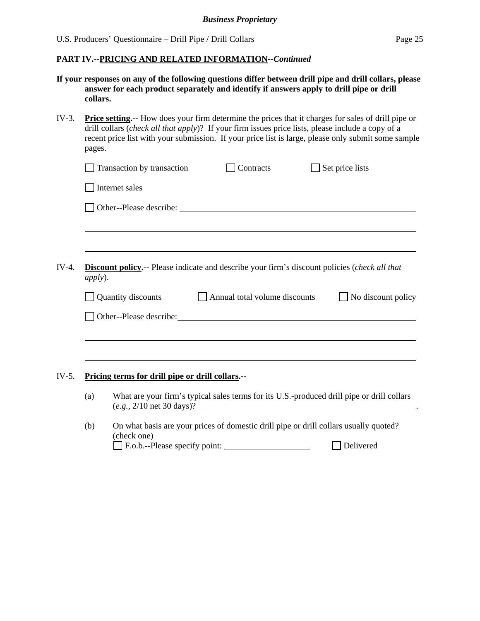- **If your responses on any of the following questions differ between drill pipe and drill collars, please answer for each product separately and identify if answers apply to drill pipe or drill collars.**
- IV-3. **Price setting.--** How does your firm determine the prices that it charges for sales of drill pipe or drill collars (*check all that apply*)? If your firm issues price lists, please include a copy of a recent price list with your submission. If your price list is large, please only submit some sample pages.

| Transaction by transaction                                                                                                                                                                                                    | Contracts                                                                        | Set price lists    |
|-------------------------------------------------------------------------------------------------------------------------------------------------------------------------------------------------------------------------------|----------------------------------------------------------------------------------|--------------------|
| Internet sales                                                                                                                                                                                                                |                                                                                  |                    |
| Other--Please describe: University of the set of the set of the set of the set of the set of the set of the set of the set of the set of the set of the set of the set of the set of the set of the set of the set of the set |                                                                                  |                    |
|                                                                                                                                                                                                                               |                                                                                  |                    |
|                                                                                                                                                                                                                               |                                                                                  |                    |
| <b>Discount policy.</b> -- Please indicate and describe your firm's discount policies (check all that<br><i>apply</i> ).                                                                                                      |                                                                                  |                    |
| Quantity discounts                                                                                                                                                                                                            | Annual total volume discounts                                                    | No discount policy |
|                                                                                                                                                                                                                               |                                                                                  |                    |
|                                                                                                                                                                                                                               | ,我们也不会有什么。""我们的人,我们也不会有什么?""我们的人,我们也不会有什么?""我们的人,我们也不会有什么?""我们的人,我们也不会有什么?""我们的人 |                    |
|                                                                                                                                                                                                                               |                                                                                  |                    |
|                                                                                                                                                                                                                               |                                                                                  |                    |
| Pricing terms for drill pipe or drill collars.--                                                                                                                                                                              |                                                                                  |                    |

 (b) On what basis are your prices of domestic drill pipe or drill collars usually quoted? (check one) F.o.b.--Please specify point: Delivered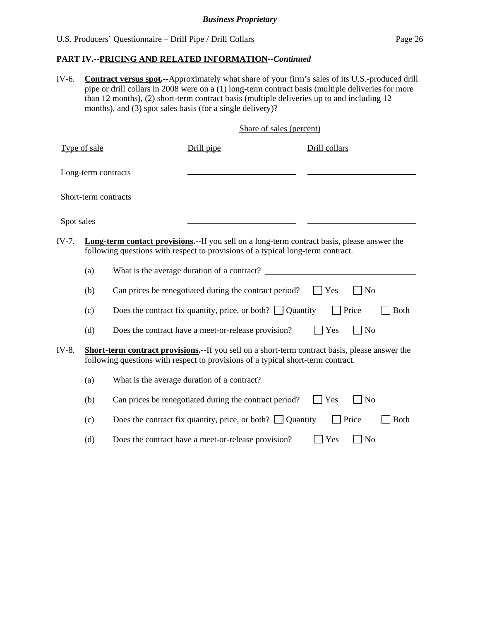### **PART IV.--PRICING AND RELATED INFORMATION***--Continued*

IV-6. **Contract versus spot.--**Approximately what share of your firm's sales of its U.S.-produced drill pipe or drill collars in 2008 were on a (1) long-term contract basis (multiple deliveries for more than 12 months), (2) short-term contract basis (multiple deliveries up to and including 12 months), and (3) spot sales basis (for a single delivery)?

#### Share of sales (percent)

|                      | Type of sale        |  | Drill pipe                                                                                                                                                                         | Drill collars         |
|----------------------|---------------------|--|------------------------------------------------------------------------------------------------------------------------------------------------------------------------------------|-----------------------|
|                      | Long-term contracts |  |                                                                                                                                                                                    |                       |
| Short-term contracts |                     |  |                                                                                                                                                                                    |                       |
| Spot sales           |                     |  |                                                                                                                                                                                    |                       |
| IV-7.                |                     |  | Long-term contact provisions.--If you sell on a long-term contract basis, please answer the<br>following questions with respect to provisions of a typical long-term contract.     |                       |
|                      | (a)                 |  | What is the average duration of a contract?                                                                                                                                        |                       |
|                      | (b)                 |  | Can prices be renegotiated during the contract period?                                                                                                                             | No<br>$ $ Yes         |
|                      | (c)                 |  | Does the contract fix quantity, price, or both? $\Box$ Quantity                                                                                                                    | Price<br><b>Both</b>  |
|                      | (d)                 |  | Does the contract have a meet-or-release provision?                                                                                                                                | Yes<br>N <sub>o</sub> |
| IV-8.                |                     |  | Short-term contract provisions.--If you sell on a short-term contract basis, please answer the<br>following questions with respect to provisions of a typical short-term contract. |                       |
|                      | (a)                 |  |                                                                                                                                                                                    |                       |
|                      | (b)                 |  | Can prices be renegotiated during the contract period?                                                                                                                             | $\mathbf{Yes}$<br>No  |
|                      | (c)                 |  | Does the contract fix quantity, price, or both? $\Box$ Quantity                                                                                                                    | Price<br><b>Both</b>  |
|                      | (d)                 |  | Does the contract have a meet-or-release provision?                                                                                                                                | Yes<br>N <sub>o</sub> |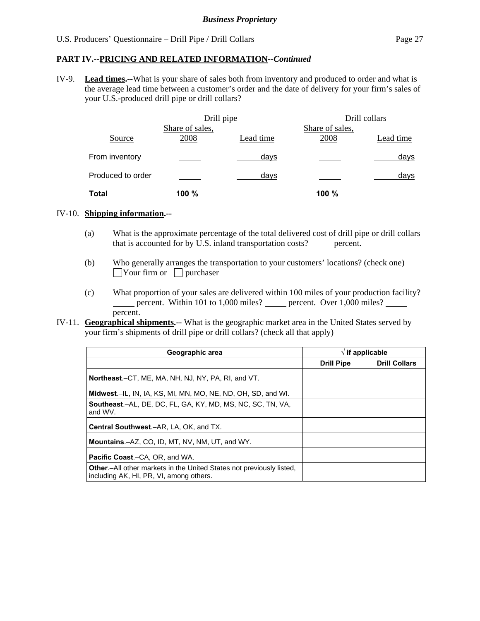### **PART IV.--PRICING AND RELATED INFORMATION***--Continued*

IV-9. **Lead times.--**What is your share of sales both from inventory and produced to order and what is the average lead time between a customer's order and the date of delivery for your firm's sales of your U.S.-produced drill pipe or drill collars?

|                   | Drill pipe      |           | Drill collars   |           |
|-------------------|-----------------|-----------|-----------------|-----------|
|                   | Share of sales, |           | Share of sales, |           |
| Source            | 2008            | Lead time | 2008            | Lead time |
| From inventory    |                 | days      |                 | days      |
| Produced to order |                 | days      |                 | days      |
| Total             | 100 %           |           | 100 %           |           |

### IV-10. **Shipping information.--**

- (a) What is the approximate percentage of the total delivered cost of drill pipe or drill collars that is accounted for by U.S. inland transportation costs? \_\_\_\_\_ percent.
- (b) Who generally arranges the transportation to your customers' locations? (check one)  $\Box$ Your firm or  $\Box$  purchaser
- (c) What proportion of your sales are delivered within 100 miles of your production facility? percent. Within 101 to 1,000 miles? percent. Over 1,000 miles? percent.

### IV-11. **Geographical shipments.--** What is the geographic market area in the United States served by your firm's shipments of drill pipe or drill collars? (check all that apply)

| Geographic area                                                                                                         |                   | $\sqrt{ }$ if applicable |
|-------------------------------------------------------------------------------------------------------------------------|-------------------|--------------------------|
|                                                                                                                         | <b>Drill Pipe</b> | <b>Drill Collars</b>     |
| <b>Northeast.</b> –CT, ME, MA, NH, NJ, NY, PA, RI, and VT.                                                              |                   |                          |
| Midwest.-IL, IN, IA, KS, MI, MN, MO, NE, ND, OH, SD, and WI.                                                            |                   |                          |
| <b>Southeast.-AL, DE, DC, FL, GA, KY, MD, MS, NC, SC, TN, VA,</b><br>and WV.                                            |                   |                          |
| Central Southwest.-AR, LA, OK, and TX.                                                                                  |                   |                          |
| <b>Mountains.</b> - AZ, CO, ID, MT, NV, NM, UT, and WY.                                                                 |                   |                          |
| <b>Pacific Coast.–CA, OR, and WA.</b>                                                                                   |                   |                          |
| <b>Other.</b> —All other markets in the United States not previously listed,<br>including AK, HI, PR, VI, among others. |                   |                          |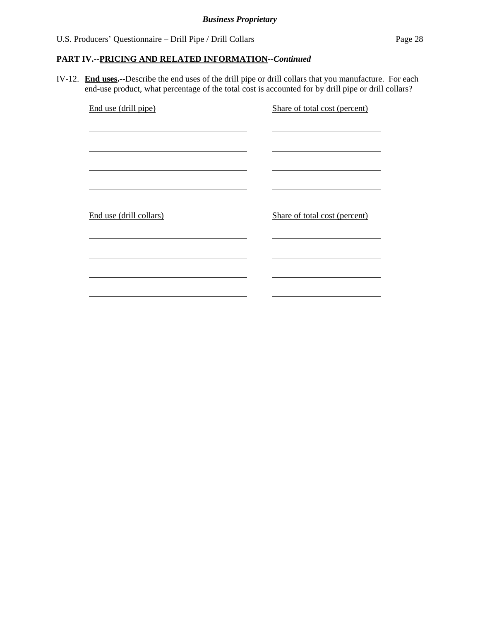### *Business Proprietary*

### U.S. Producers' Questionnaire – Drill Pipe / Drill Collars Page 28

# **PART IV.--PRICING AND RELATED INFORMATION***--Continued*

IV-12. **End uses.--**Describe the end uses of the drill pipe or drill collars that you manufacture. For each end-use product, what percentage of the total cost is accounted for by drill pipe or drill collars?

| End use (drill pipe)    | Share of total cost (percent) |
|-------------------------|-------------------------------|
|                         |                               |
|                         |                               |
|                         |                               |
|                         |                               |
|                         |                               |
| End use (drill collars) | Share of total cost (percent) |
|                         |                               |
|                         |                               |
|                         |                               |
|                         |                               |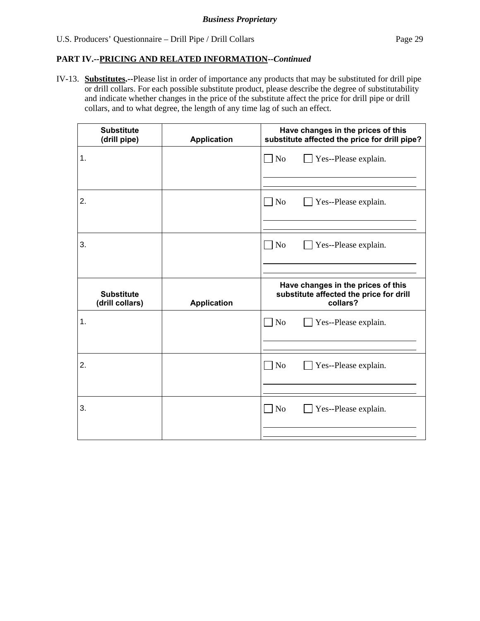IV-13. **Substitutes.--**Please list in order of importance any products that may be substituted for drill pipe or drill collars. For each possible substitute product, please describe the degree of substitutability and indicate whether changes in the price of the substitute affect the price for drill pipe or drill collars, and to what degree, the length of any time lag of such an effect.

| <b>Substitute</b><br>(drill pipe)    | <b>Application</b> | Have changes in the prices of this<br>substitute affected the price for drill pipe?       |
|--------------------------------------|--------------------|-------------------------------------------------------------------------------------------|
| 1.                                   |                    | $\Box$ No<br>Yes--Please explain.                                                         |
|                                      |                    |                                                                                           |
| 2.                                   |                    | No<br>Yes--Please explain.                                                                |
|                                      |                    |                                                                                           |
| 3.                                   |                    | N <sub>o</sub><br>Yes--Please explain.                                                    |
|                                      |                    |                                                                                           |
|                                      |                    |                                                                                           |
| <b>Substitute</b><br>(drill collars) | <b>Application</b> | Have changes in the prices of this<br>substitute affected the price for drill<br>collars? |
| 1.                                   |                    | N <sub>o</sub><br>Yes--Please explain.                                                    |
|                                      |                    |                                                                                           |
| 2.                                   |                    | N <sub>o</sub><br>Yes--Please explain.                                                    |
|                                      |                    |                                                                                           |
| 3.                                   |                    | N <sub>o</sub><br>Yes--Please explain.                                                    |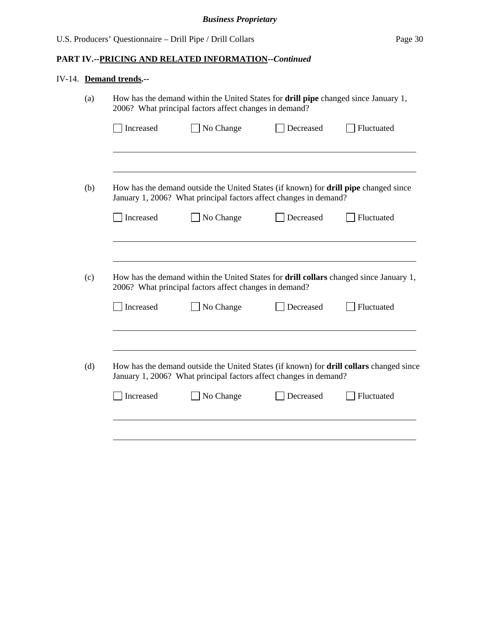# IV-14. **Demand trends.--**

|           | How has the demand within the United States for <b>drill pipe</b> changed since January 1,<br>2006? What principal factors affect changes in demand?             |           |            |
|-----------|------------------------------------------------------------------------------------------------------------------------------------------------------------------|-----------|------------|
| Increased | No Change                                                                                                                                                        | Decreased | Fluctuated |
|           | How has the demand outside the United States (if known) for <b>drill pipe</b> changed since<br>January 1, 2006? What principal factors affect changes in demand? |           |            |
| Increased | No Change                                                                                                                                                        | Decreased | Fluctuated |
|           | How has the demand within the United States for <b>drill collars</b> changed since January 1,<br>2006? What principal factors affect changes in demand?          |           |            |
| Increased | No Change                                                                                                                                                        | Decreased |            |
|           | How has the demand outside the United States (if known) for <b>drill collars</b> changed since                                                                   |           |            |
|           | January 1, 2006? What principal factors affect changes in demand?                                                                                                |           | Fluctuated |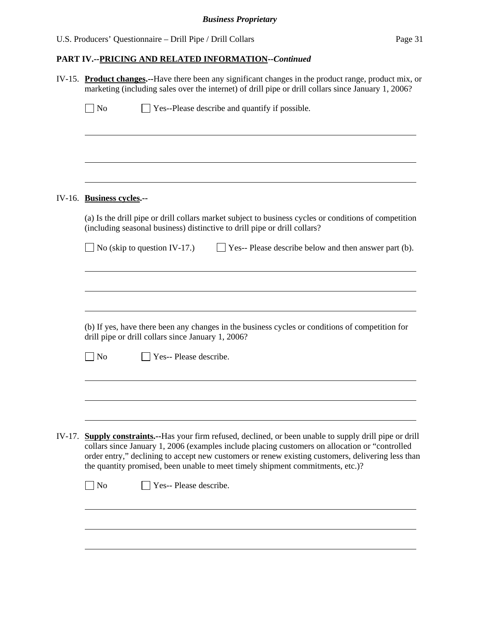# *Business Proprietary*

# U.S. Producers' Questionnaire – Drill Pipe / Drill Collars Page 31

# **PART IV.--PRICING AND RELATED INFORMATION***--Continued*

|        | IV-15. Product changes.--Have there been any significant changes in the product range, product mix, or<br>marketing (including sales over the internet) of drill pipe or drill collars since January 1, 2006?                                                                         |  |  |
|--------|---------------------------------------------------------------------------------------------------------------------------------------------------------------------------------------------------------------------------------------------------------------------------------------|--|--|
|        | $\Box$ No<br>Yes--Please describe and quantify if possible.                                                                                                                                                                                                                           |  |  |
|        |                                                                                                                                                                                                                                                                                       |  |  |
|        | IV-16. Business cycles.--                                                                                                                                                                                                                                                             |  |  |
|        | (a) Is the drill pipe or drill collars market subject to business cycles or conditions of competition<br>(including seasonal business) distinctive to drill pipe or drill collars?                                                                                                    |  |  |
|        | $\sqrt{\phantom{a}}$ No (skip to question IV-17.)<br>Yes-- Please describe below and then answer part (b).                                                                                                                                                                            |  |  |
|        |                                                                                                                                                                                                                                                                                       |  |  |
|        |                                                                                                                                                                                                                                                                                       |  |  |
|        | (b) If yes, have there been any changes in the business cycles or conditions of competition for<br>drill pipe or drill collars since January 1, 2006?                                                                                                                                 |  |  |
|        | $\log$<br>Yes-- Please describe.                                                                                                                                                                                                                                                      |  |  |
|        |                                                                                                                                                                                                                                                                                       |  |  |
| IV-17. | <b>Supply constraints.</b> --Has your firm refused, declined, or been unable to supply drill pipe or drill                                                                                                                                                                            |  |  |
|        | collars since January 1, 2006 (examples include placing customers on allocation or "controlled<br>order entry," declining to accept new customers or renew existing customers, delivering less than<br>the quantity promised, been unable to meet timely shipment commitments, etc.)? |  |  |
|        | Yes-- Please describe.<br>$\exists$ No                                                                                                                                                                                                                                                |  |  |
|        |                                                                                                                                                                                                                                                                                       |  |  |
|        |                                                                                                                                                                                                                                                                                       |  |  |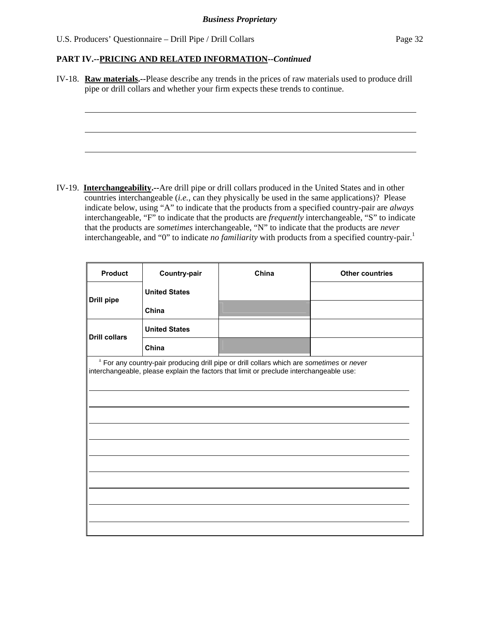l

### **PART IV.--PRICING AND RELATED INFORMATION***--Continued*

IV-18. **Raw materials.--**Please describe any trends in the prices of raw materials used to produce drill pipe or drill collars and whether your firm expects these trends to continue.

IV-19. **Interchangeability.--**Are drill pipe or drill collars produced in the United States and in other countries interchangeable (*i.e.*, can they physically be used in the same applications)? Please indicate below, using "A" to indicate that the products from a specified country-pair are *always* interchangeable, "F" to indicate that the products are *frequently* interchangeable, "S" to indicate that the products are *sometimes* interchangeable, "N" to indicate that the products are *never* interchangeable, and "0" to indicate *no familiarity* with products from a specified country-pair.<sup>1</sup>

| <b>Product</b>       | Country-pair                                                                                                                                                                           | China | <b>Other countries</b> |  |  |  |
|----------------------|----------------------------------------------------------------------------------------------------------------------------------------------------------------------------------------|-------|------------------------|--|--|--|
|                      | <b>United States</b>                                                                                                                                                                   |       |                        |  |  |  |
| <b>Drill pipe</b>    | China                                                                                                                                                                                  |       |                        |  |  |  |
| <b>Drill collars</b> | <b>United States</b>                                                                                                                                                                   |       |                        |  |  |  |
|                      | China                                                                                                                                                                                  |       |                        |  |  |  |
|                      | $1$ For any country-pair producing drill pipe or drill collars which are sometimes or never<br>interchangeable, please explain the factors that limit or preclude interchangeable use: |       |                        |  |  |  |
|                      |                                                                                                                                                                                        |       |                        |  |  |  |
|                      |                                                                                                                                                                                        |       |                        |  |  |  |
|                      |                                                                                                                                                                                        |       |                        |  |  |  |
|                      |                                                                                                                                                                                        |       |                        |  |  |  |
|                      |                                                                                                                                                                                        |       |                        |  |  |  |
|                      |                                                                                                                                                                                        |       |                        |  |  |  |
|                      |                                                                                                                                                                                        |       |                        |  |  |  |
|                      |                                                                                                                                                                                        |       |                        |  |  |  |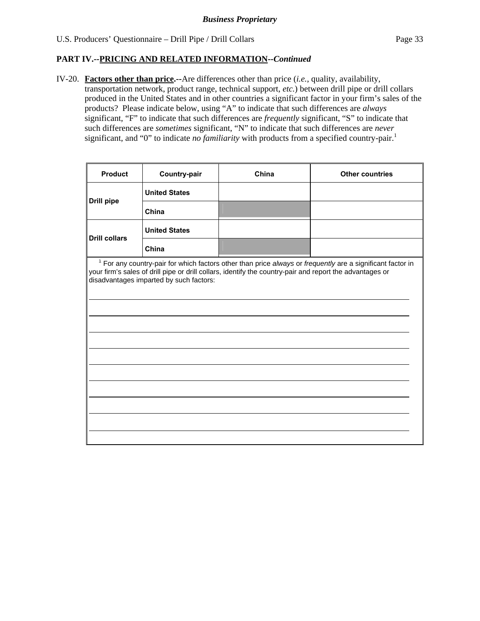IV-20. **Factors other than price.--**Are differences other than price (*i.e.*, quality, availability, transportation network, product range, technical support, *etc.*) between drill pipe or drill collars produced in the United States and in other countries a significant factor in your firm's sales of the products? Please indicate below, using "A" to indicate that such differences are *always* significant, "F" to indicate that such differences are *frequently* significant, "S" to indicate that such differences are *sometimes* significant, "N" to indicate that such differences are *never* significant, and "0" to indicate *no familiarity* with products from a specified country-pair.<sup>1</sup>

| <b>Product</b>       | Country-pair                            | China                                                                                                    | <b>Other countries</b>                                                                                       |
|----------------------|-----------------------------------------|----------------------------------------------------------------------------------------------------------|--------------------------------------------------------------------------------------------------------------|
| <b>Drill pipe</b>    | <b>United States</b>                    |                                                                                                          |                                                                                                              |
|                      | China                                   |                                                                                                          |                                                                                                              |
| <b>Drill collars</b> | <b>United States</b>                    |                                                                                                          |                                                                                                              |
|                      | China                                   |                                                                                                          |                                                                                                              |
|                      | disadvantages imparted by such factors: | your firm's sales of drill pipe or drill collars, identify the country-pair and report the advantages or | $1$ For any country-pair for which factors other than price always or frequently are a significant factor in |
|                      |                                         |                                                                                                          |                                                                                                              |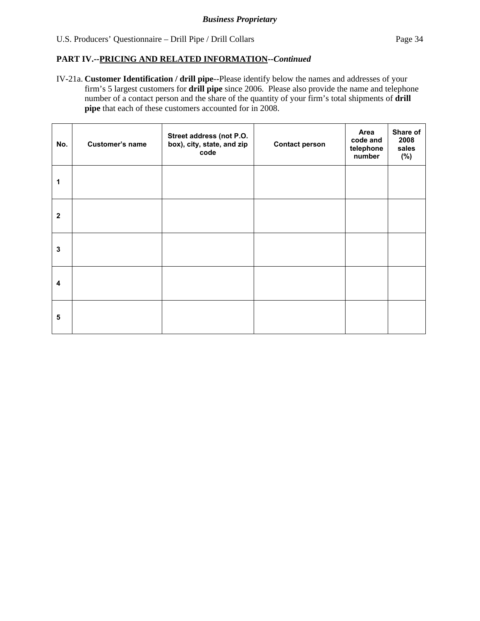IV-21a. **Customer Identification / drill pipe**--Please identify below the names and addresses of your firm's 5 largest customers for **drill pipe** since 2006. Please also provide the name and telephone number of a contact person and the share of the quantity of your firm's total shipments of **drill pipe** that each of these customers accounted for in 2008.

| No.                     | <b>Customer's name</b> | Street address (not P.O.<br>box), city, state, and zip<br>code | <b>Contact person</b> | Area<br>code and<br>telephone<br>number | Share of<br>2008<br>sales<br>$(\%)$ |
|-------------------------|------------------------|----------------------------------------------------------------|-----------------------|-----------------------------------------|-------------------------------------|
| 1                       |                        |                                                                |                       |                                         |                                     |
| $\mathbf{2}$            |                        |                                                                |                       |                                         |                                     |
| 3                       |                        |                                                                |                       |                                         |                                     |
| $\overline{\mathbf{4}}$ |                        |                                                                |                       |                                         |                                     |
| 5                       |                        |                                                                |                       |                                         |                                     |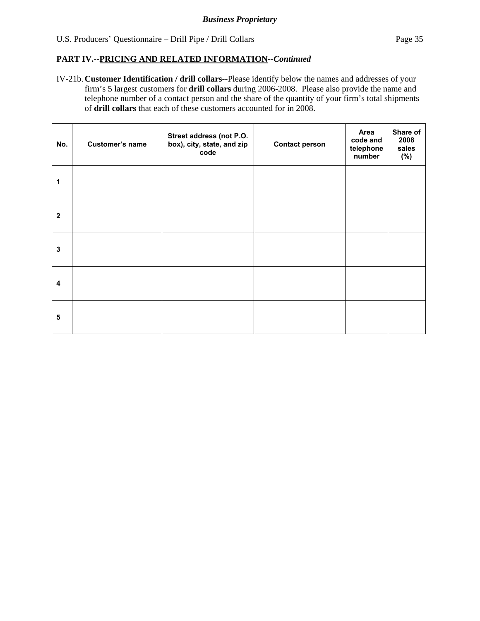IV-21b. **Customer Identification / drill collars**--Please identify below the names and addresses of your firm's 5 largest customers for **drill collars** during 2006-2008. Please also provide the name and telephone number of a contact person and the share of the quantity of your firm's total shipments of **drill collars** that each of these customers accounted for in 2008.

| No.                     | <b>Customer's name</b> | Street address (not P.O.<br>box), city, state, and zip<br>code | <b>Contact person</b> | Area<br>code and<br>telephone<br>number | Share of<br>2008<br>sales<br>$(\%)$ |
|-------------------------|------------------------|----------------------------------------------------------------|-----------------------|-----------------------------------------|-------------------------------------|
| 1                       |                        |                                                                |                       |                                         |                                     |
| $\mathbf{2}$            |                        |                                                                |                       |                                         |                                     |
| 3                       |                        |                                                                |                       |                                         |                                     |
| $\overline{\mathbf{4}}$ |                        |                                                                |                       |                                         |                                     |
| 5                       |                        |                                                                |                       |                                         |                                     |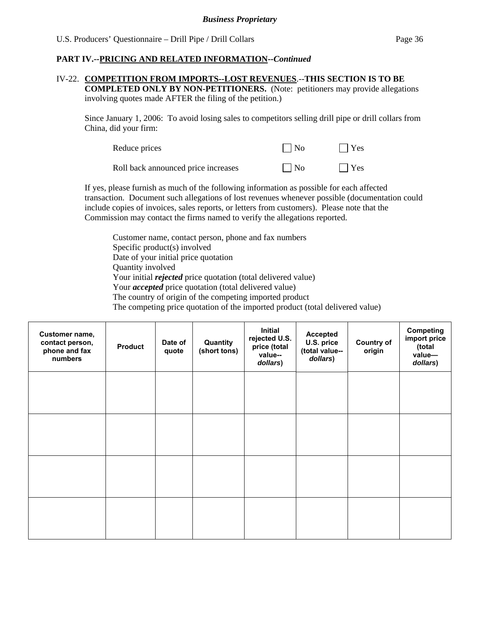### IV-22. **COMPETITION FROM IMPORTS--LOST REVENUES**.--**THIS SECTION IS TO BE**

**COMPLETED ONLY BY NON-PETITIONERS.** (Note: petitioners may provide allegations involving quotes made AFTER the filing of the petition.)

Since January 1, 2006: To avoid losing sales to competitors selling drill pipe or drill collars from China, did your firm:

| Reduce prices                       | $\Box$ No | $\Box$ Yes |
|-------------------------------------|-----------|------------|
| Roll back announced price increases | $\Box$ No | $\Box$ Yes |

If yes, please furnish as much of the following information as possible for each affected transaction. Document such allegations of lost revenues whenever possible (documentation could include copies of invoices, sales reports, or letters from customers). Please note that the Commission may contact the firms named to verify the allegations reported.

Customer name, contact person, phone and fax numbers Specific product(s) involved Date of your initial price quotation Quantity involved Your initial *rejected* price quotation (total delivered value) Your *accepted* price quotation (total delivered value) The country of origin of the competing imported product The competing price quotation of the imported product (total delivered value)

| Customer name,<br>contact person,<br>phone and fax<br>numbers | <b>Product</b> | Date of<br>quote | Quantity<br>(short tons) | Initial<br>rejected U.S.<br>price (total<br>value--<br>dollars) | <b>Accepted</b><br>U.S. price<br>(total value--<br>dollars) | <b>Country of</b><br>origin | Competing<br>import price<br>(total<br>value-<br>dollars) |
|---------------------------------------------------------------|----------------|------------------|--------------------------|-----------------------------------------------------------------|-------------------------------------------------------------|-----------------------------|-----------------------------------------------------------|
|                                                               |                |                  |                          |                                                                 |                                                             |                             |                                                           |
|                                                               |                |                  |                          |                                                                 |                                                             |                             |                                                           |
|                                                               |                |                  |                          |                                                                 |                                                             |                             |                                                           |
|                                                               |                |                  |                          |                                                                 |                                                             |                             |                                                           |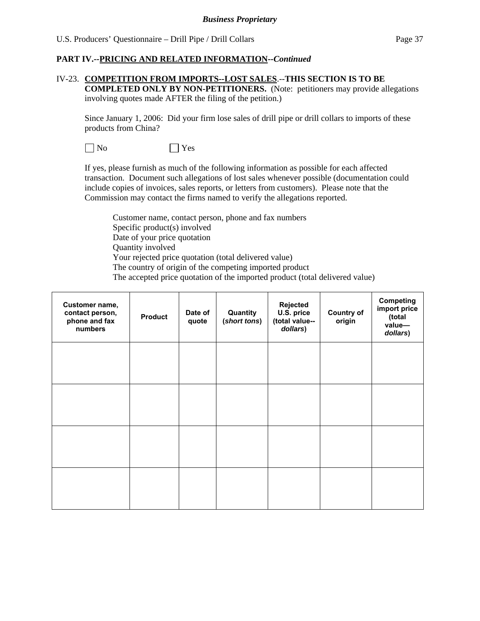#### IV-23. **COMPETITION FROM IMPORTS--LOST SALES**.--**THIS SECTION IS TO BE**

**COMPLETED ONLY BY NON-PETITIONERS.** (Note: petitioners may provide allegations involving quotes made AFTER the filing of the petition.)

Since January 1, 2006: Did your firm lose sales of drill pipe or drill collars to imports of these products from China?

| $\Box$ No |  |
|-----------|--|
|-----------|--|

 $\Box$  Yes

If yes, please furnish as much of the following information as possible for each affected transaction. Document such allegations of lost sales whenever possible (documentation could include copies of invoices, sales reports, or letters from customers). Please note that the Commission may contact the firms named to verify the allegations reported.

Customer name, contact person, phone and fax numbers Specific product(s) involved Date of your price quotation Quantity involved Your rejected price quotation (total delivered value) The country of origin of the competing imported product The accepted price quotation of the imported product (total delivered value)

| Customer name,<br>contact person,<br>phone and fax<br>numbers | <b>Product</b> | Date of<br>quote | Quantity<br>(short tons) | Rejected<br>U.S. price<br>(total value--<br>dollars) | <b>Country of</b><br>origin | Competing<br>import price<br>(total<br>value-<br>dollars) |
|---------------------------------------------------------------|----------------|------------------|--------------------------|------------------------------------------------------|-----------------------------|-----------------------------------------------------------|
|                                                               |                |                  |                          |                                                      |                             |                                                           |
|                                                               |                |                  |                          |                                                      |                             |                                                           |
|                                                               |                |                  |                          |                                                      |                             |                                                           |
|                                                               |                |                  |                          |                                                      |                             |                                                           |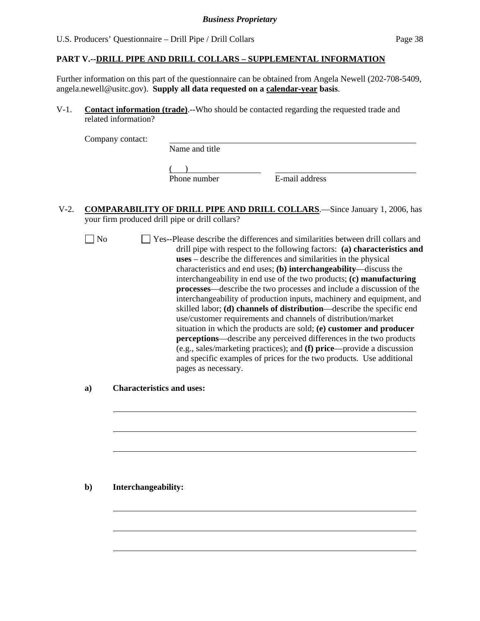# **PART V.--DRILL PIPE AND DRILL COLLARS – SUPPLEMENTAL INFORMATION**

Further information on this part of the questionnaire can be obtained from Angela Newell (202-708-5409, angela.newell@usitc.gov). **Supply all data requested on a calendar-year basis**.

V-1. **Contact information (trade)**.--Who should be contacted regarding the requested trade and related information?

Company contact:

Name and title

 $($ 

Phone number E-mail address

- V-2. **COMPARABILITY OF DRILL PIPE AND DRILL COLLARS**.—Since January 1, 2006, has your firm produced drill pipe or drill collars?
	- No  $\Box$  Yes--Please describe the differences and similarities between drill collars and drill pipe with respect to the following factors: **(a) characteristics and uses** – describe the differences and similarities in the physical characteristics and end uses; **(b) interchangeability**—discuss the interchangeability in end use of the two products; **(c) manufacturing processes**—describe the two processes and include a discussion of the interchangeability of production inputs, machinery and equipment, and skilled labor; **(d) channels of distribution**—describe the specific end use/customer requirements and channels of distribution/market situation in which the products are sold; **(e) customer and producer perceptions**—describe any perceived differences in the two products (e.g., sales/marketing practices); and **(f) price**—provide a discussion and specific examples of prices for the two products. Use additional pages as necessary.

**a) Characteristics and uses:** 

 $\overline{a}$ 

 $\overline{a}$ 

**b) Interchangeability:**